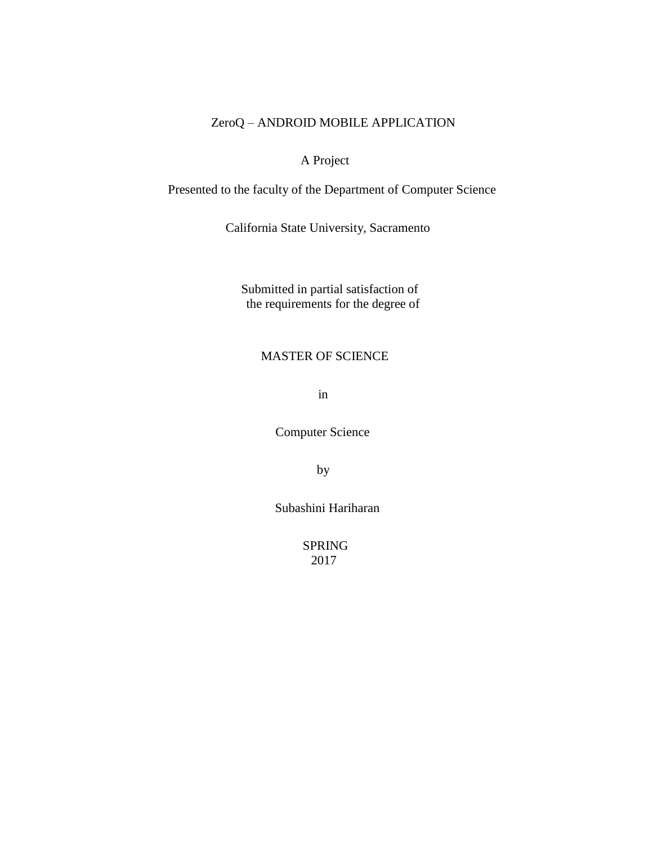# ZeroQ – ANDROID MOBILE APPLICATION

# A Project

Presented to the faculty of the Department of Computer Science

California State University, Sacramento

 Submitted in partial satisfaction of the requirements for the degree of

# MASTER OF SCIENCE

in

Computer Science

by

Subashini Hariharan

 SPRING 2017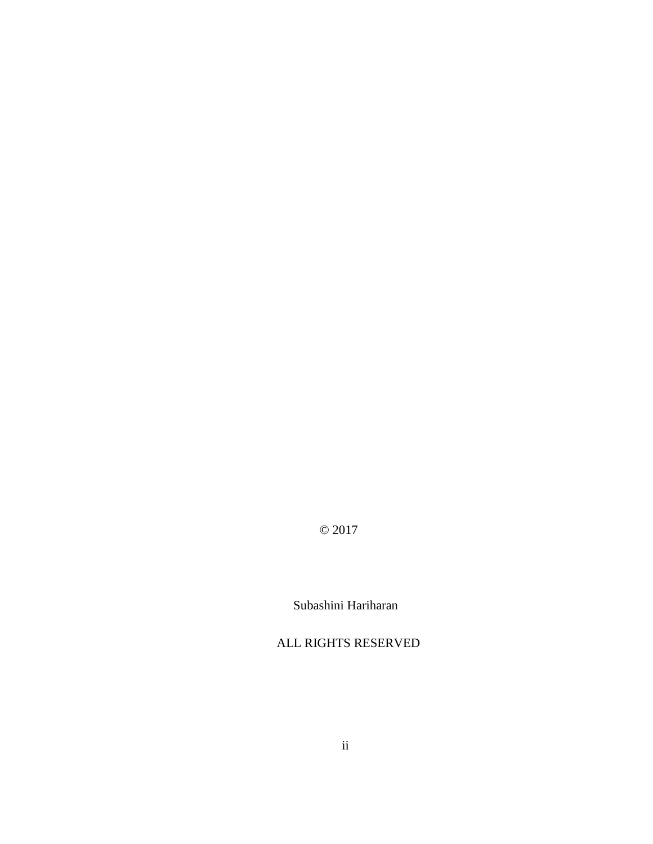© 2017

Subashini Hariharan

ALL RIGHTS RESERVED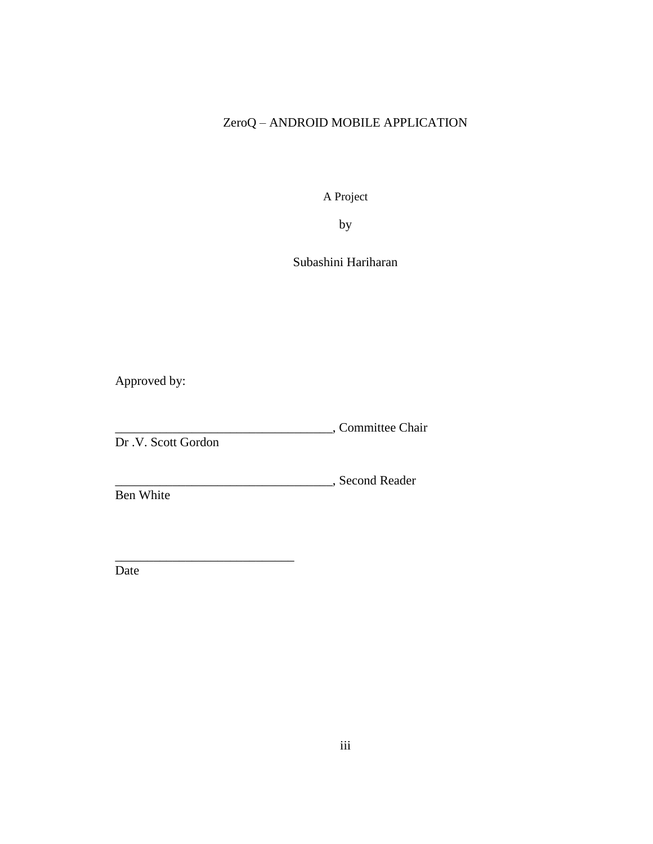# ZeroQ – ANDROID MOBILE APPLICATION

A Project

by

Subashini Hariharan

Approved by:

\_\_\_\_\_\_\_\_\_\_\_\_\_\_\_\_\_\_\_\_\_\_\_\_\_\_\_\_\_\_\_\_\_\_, Committee Chair

Dr .V. Scott Gordon

\_\_\_\_\_\_\_\_\_\_\_\_\_\_\_\_\_\_\_\_\_\_\_\_\_\_\_\_

\_\_\_\_\_\_\_\_\_\_\_\_\_\_\_\_\_\_\_\_\_\_\_\_\_\_\_\_\_\_\_\_\_\_, Second Reader

Ben White

Date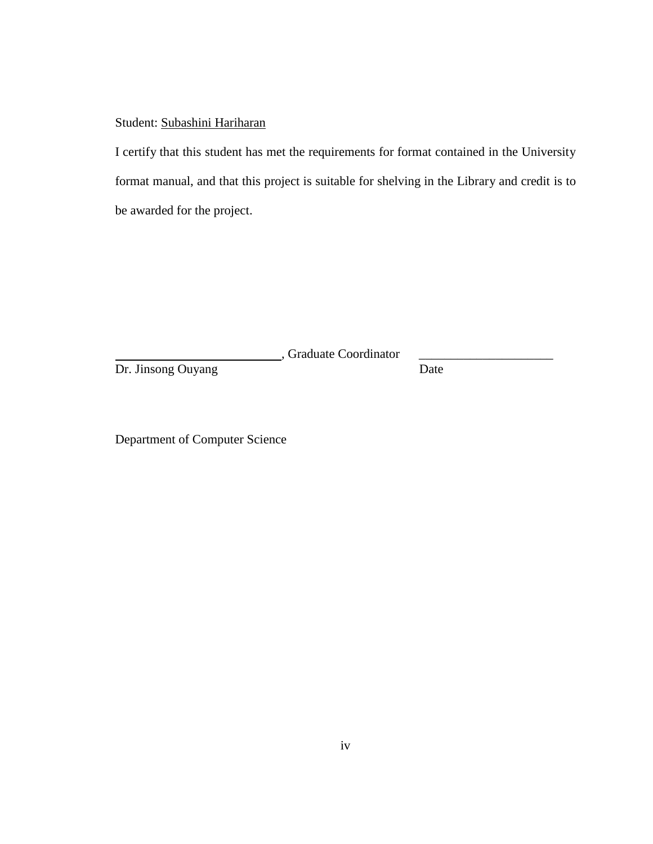# Student: Subashini Hariharan

I certify that this student has met the requirements for format contained in the University format manual, and that this project is suitable for shelving in the Library and credit is to be awarded for the project.

, Graduate Coordinator \_\_\_\_\_\_\_\_\_\_\_\_\_\_\_\_\_\_\_\_\_

Dr. Jinsong Ouyang Date

Department of Computer Science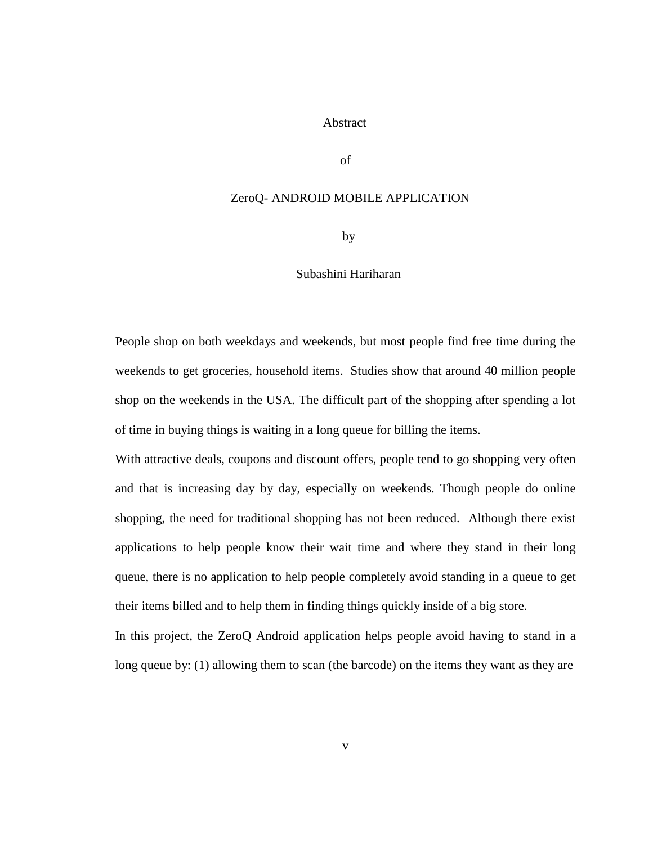## Abstract

of

## ZeroQ- ANDROID MOBILE APPLICATION

by

#### Subashini Hariharan

People shop on both weekdays and weekends, but most people find free time during the weekends to get groceries, household items. Studies show that around 40 million people shop on the weekends in the USA. The difficult part of the shopping after spending a lot of time in buying things is waiting in a long queue for billing the items.

With attractive deals, coupons and discount offers, people tend to go shopping very often and that is increasing day by day, especially on weekends. Though people do online shopping, the need for traditional shopping has not been reduced. Although there exist applications to help people know their wait time and where they stand in their long queue, there is no application to help people completely avoid standing in a queue to get their items billed and to help them in finding things quickly inside of a big store.

In this project, the ZeroQ Android application helps people avoid having to stand in a long queue by: (1) allowing them to scan (the barcode) on the items they want as they are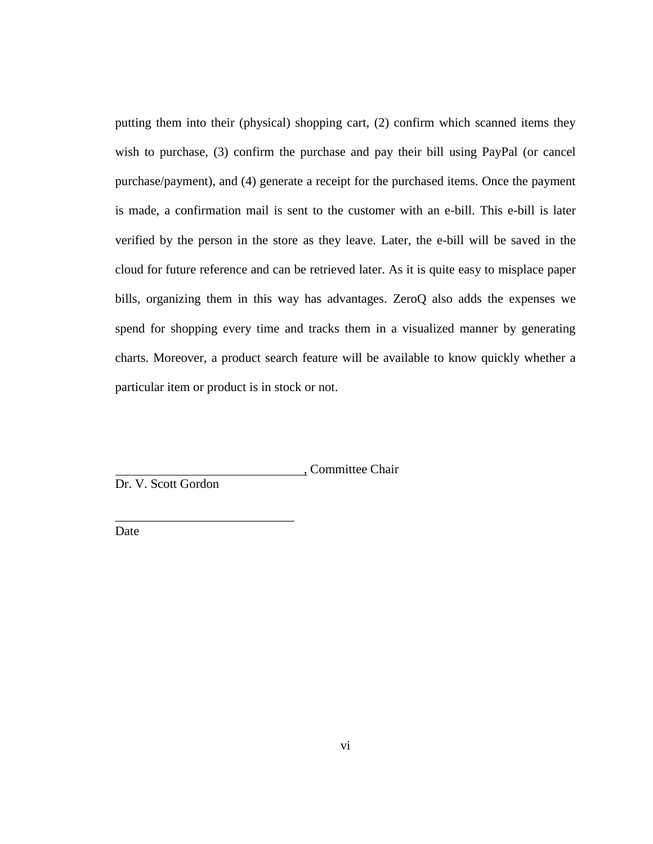putting them into their (physical) shopping cart, (2) confirm which scanned items they wish to purchase, (3) confirm the purchase and pay their bill using PayPal (or cancel purchase/payment), and (4) generate a receipt for the purchased items. Once the payment is made, a confirmation mail is sent to the customer with an e-bill. This e-bill is later verified by the person in the store as they leave. Later, the e-bill will be saved in the cloud for future reference and can be retrieved later. As it is quite easy to misplace paper bills, organizing them in this way has advantages. ZeroQ also adds the expenses we spend for shopping every time and tracks them in a visualized manner by generating charts. Moreover, a product search feature will be available to know quickly whether a particular item or product is in stock or not.

, Committee Chair

Dr. V. Scott Gordon

\_\_\_\_\_\_\_\_\_\_\_\_\_\_\_\_\_\_\_\_\_\_\_\_\_\_\_\_

Date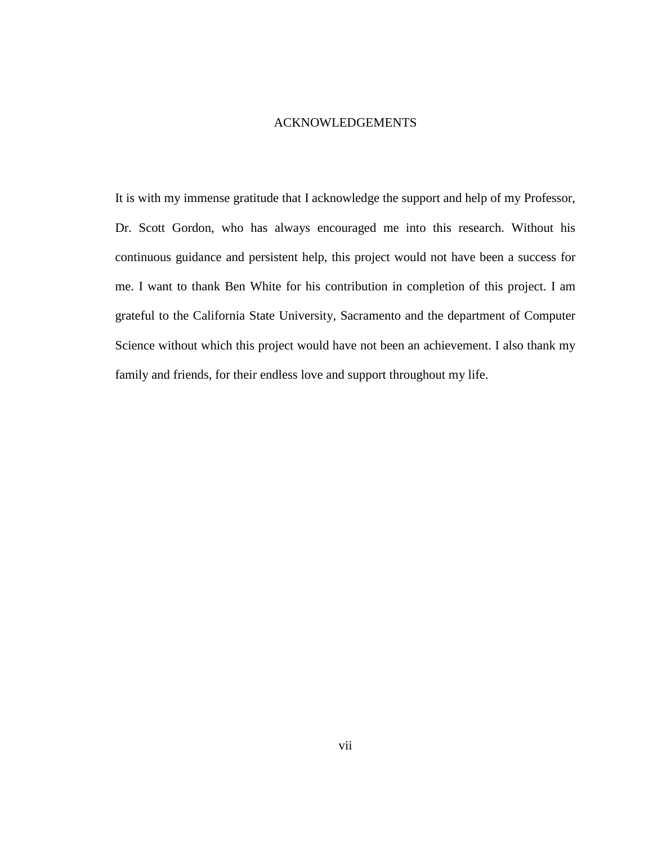#### ACKNOWLEDGEMENTS

It is with my immense gratitude that I acknowledge the support and help of my Professor, Dr. Scott Gordon, who has always encouraged me into this research. Without his continuous guidance and persistent help, this project would not have been a success for me. I want to thank Ben White for his contribution in completion of this project. I am grateful to the California State University, Sacramento and the department of Computer Science without which this project would have not been an achievement. I also thank my family and friends, for their endless love and support throughout my life.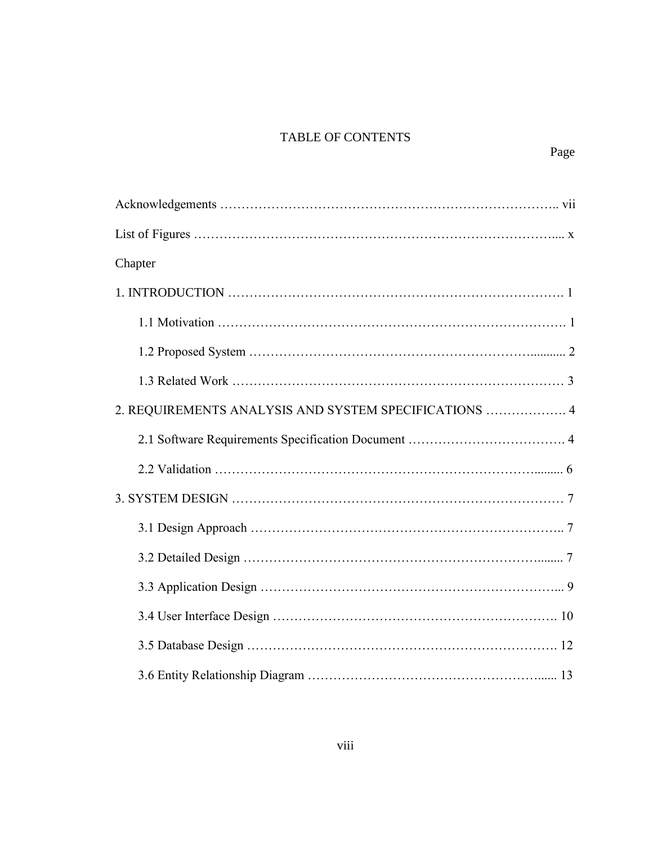# TABLE OF CONTENTS

| Chapter                                               |
|-------------------------------------------------------|
|                                                       |
|                                                       |
|                                                       |
|                                                       |
| 2. REQUIREMENTS ANALYSIS AND SYSTEM SPECIFICATIONS  4 |
|                                                       |
|                                                       |
|                                                       |
|                                                       |
|                                                       |
|                                                       |
|                                                       |
|                                                       |
|                                                       |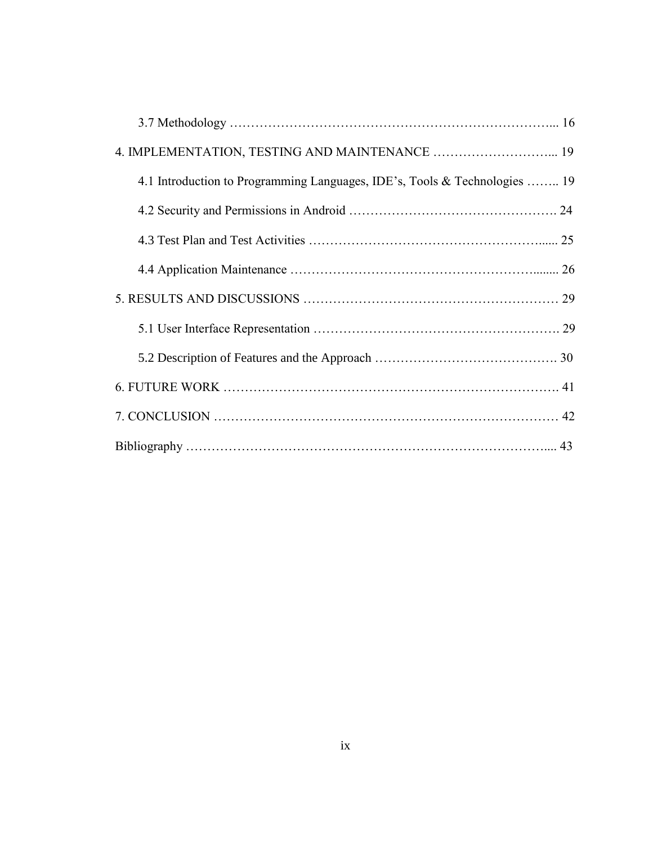| 4. IMPLEMENTATION, TESTING AND MAINTENANCE  19                             |  |
|----------------------------------------------------------------------------|--|
| 4.1 Introduction to Programming Languages, IDE's, Tools & Technologies  19 |  |
|                                                                            |  |
|                                                                            |  |
|                                                                            |  |
|                                                                            |  |
|                                                                            |  |
|                                                                            |  |
|                                                                            |  |
|                                                                            |  |
|                                                                            |  |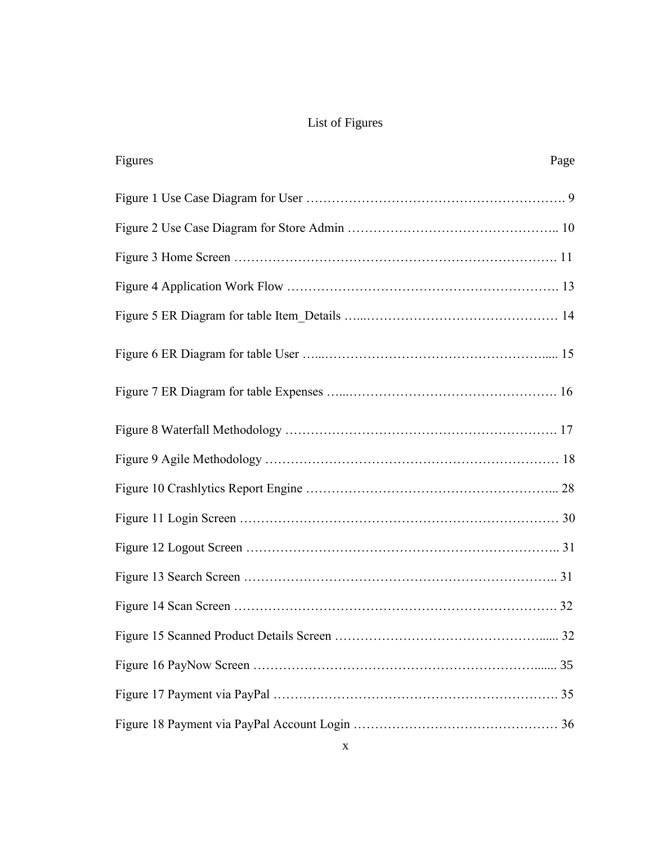# List of Figures

| Figures | Page |
|---------|------|
|         |      |
|         |      |
|         |      |
|         |      |
|         |      |
|         |      |
|         |      |
|         |      |
|         |      |
|         |      |
|         |      |
|         |      |
|         |      |
|         |      |
|         |      |
|         |      |
|         |      |
|         |      |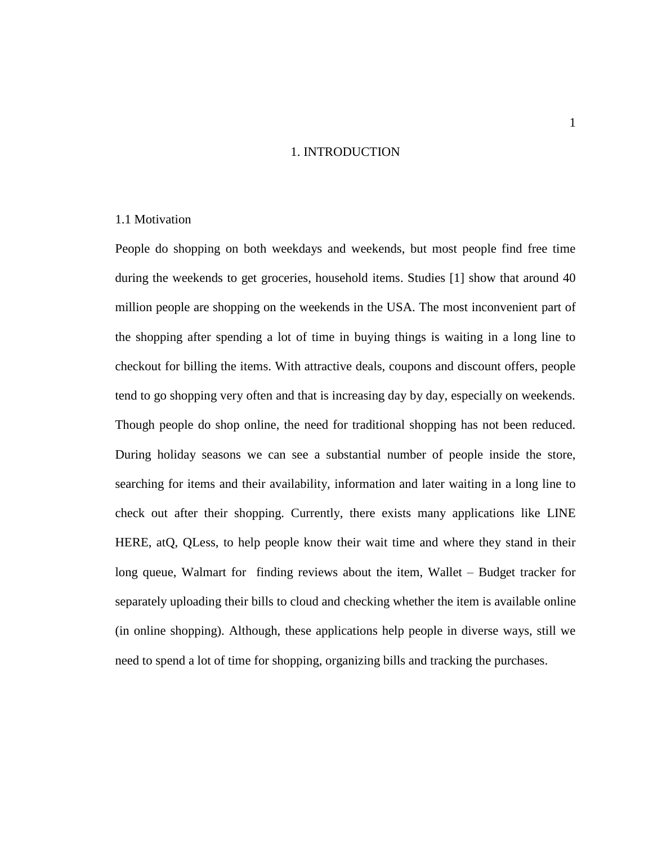# 1. INTRODUCTION

# 1.1 Motivation

People do shopping on both weekdays and weekends, but most people find free time during the weekends to get groceries, household items. Studies [1] show that around 40 million people are shopping on the weekends in the USA. The most inconvenient part of the shopping after spending a lot of time in buying things is waiting in a long line to checkout for billing the items. With attractive deals, coupons and discount offers, people tend to go shopping very often and that is increasing day by day, especially on weekends. Though people do shop online, the need for traditional shopping has not been reduced. During holiday seasons we can see a substantial number of people inside the store, searching for items and their availability, information and later waiting in a long line to check out after their shopping. Currently, there exists many applications like LINE HERE, atQ, QLess, to help people know their wait time and where they stand in their long queue, Walmart for finding reviews about the item, Wallet – Budget tracker for separately uploading their bills to cloud and checking whether the item is available online (in online shopping). Although, these applications help people in diverse ways, still we need to spend a lot of time for shopping, organizing bills and tracking the purchases.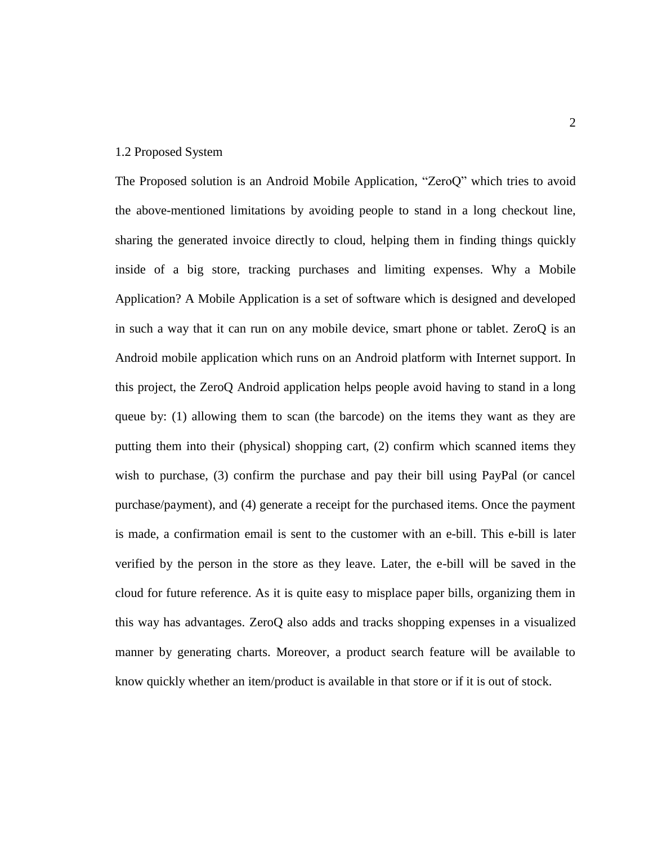## 1.2 Proposed System

The Proposed solution is an Android Mobile Application, "ZeroQ" which tries to avoid the above-mentioned limitations by avoiding people to stand in a long checkout line, sharing the generated invoice directly to cloud, helping them in finding things quickly inside of a big store, tracking purchases and limiting expenses. Why a Mobile Application? A Mobile Application is a set of software which is designed and developed in such a way that it can run on any mobile device, smart phone or tablet. ZeroQ is an Android mobile application which runs on an Android platform with Internet support. In this project, the ZeroQ Android application helps people avoid having to stand in a long queue by: (1) allowing them to scan (the barcode) on the items they want as they are putting them into their (physical) shopping cart, (2) confirm which scanned items they wish to purchase, (3) confirm the purchase and pay their bill using PayPal (or cancel purchase/payment), and (4) generate a receipt for the purchased items. Once the payment is made, a confirmation email is sent to the customer with an e-bill. This e-bill is later verified by the person in the store as they leave. Later, the e-bill will be saved in the cloud for future reference. As it is quite easy to misplace paper bills, organizing them in this way has advantages. ZeroQ also adds and tracks shopping expenses in a visualized manner by generating charts. Moreover, a product search feature will be available to know quickly whether an item/product is available in that store or if it is out of stock.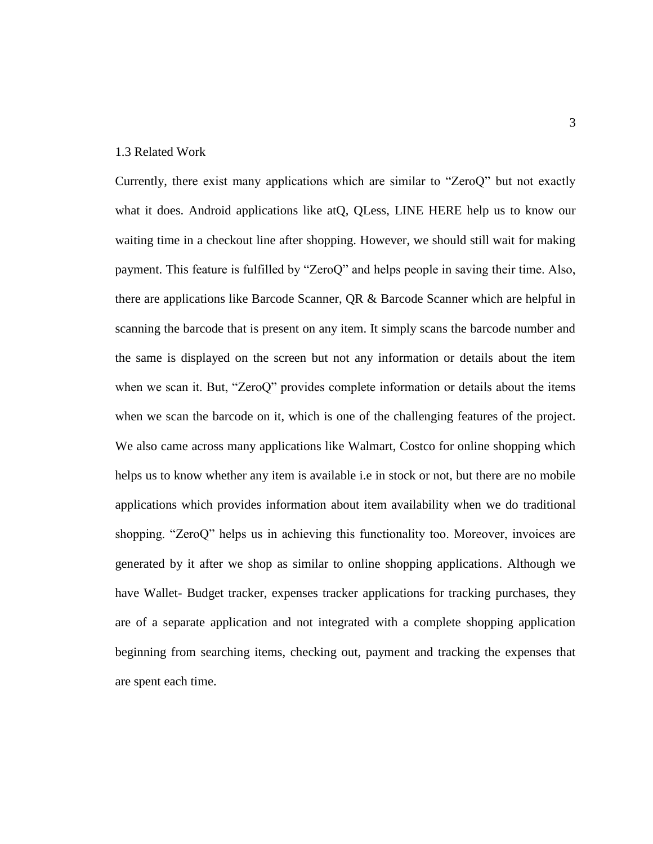# 1.3 Related Work

Currently, there exist many applications which are similar to "ZeroQ" but not exactly what it does. Android applications like at Q, QLess, LINE HERE help us to know our waiting time in a checkout line after shopping. However, we should still wait for making payment. This feature is fulfilled by "ZeroQ" and helps people in saving their time. Also, there are applications like Barcode Scanner, QR & Barcode Scanner which are helpful in scanning the barcode that is present on any item. It simply scans the barcode number and the same is displayed on the screen but not any information or details about the item when we scan it. But, "ZeroQ" provides complete information or details about the items when we scan the barcode on it, which is one of the challenging features of the project. We also came across many applications like Walmart, Costco for online shopping which helps us to know whether any item is available i.e in stock or not, but there are no mobile applications which provides information about item availability when we do traditional shopping. "ZeroQ" helps us in achieving this functionality too. Moreover, invoices are generated by it after we shop as similar to online shopping applications. Although we have Wallet- Budget tracker, expenses tracker applications for tracking purchases, they are of a separate application and not integrated with a complete shopping application beginning from searching items, checking out, payment and tracking the expenses that are spent each time.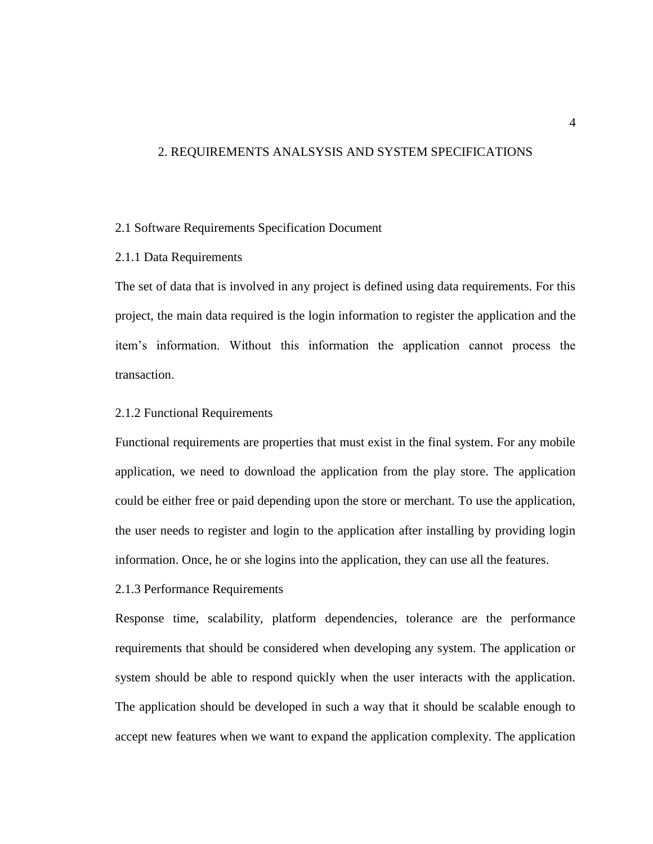# 2. REQUIREMENTS ANALSYSIS AND SYSTEM SPECIFICATIONS

# 2.1 Software Requirements Specification Document

# 2.1.1 Data Requirements

The set of data that is involved in any project is defined using data requirements. For this project, the main data required is the login information to register the application and the item's information. Without this information the application cannot process the transaction.

# 2.1.2 Functional Requirements

Functional requirements are properties that must exist in the final system. For any mobile application, we need to download the application from the play store. The application could be either free or paid depending upon the store or merchant. To use the application, the user needs to register and login to the application after installing by providing login information. Once, he or she logins into the application, they can use all the features.

2.1.3 Performance Requirements

Response time, scalability, platform dependencies, tolerance are the performance requirements that should be considered when developing any system. The application or system should be able to respond quickly when the user interacts with the application. The application should be developed in such a way that it should be scalable enough to accept new features when we want to expand the application complexity. The application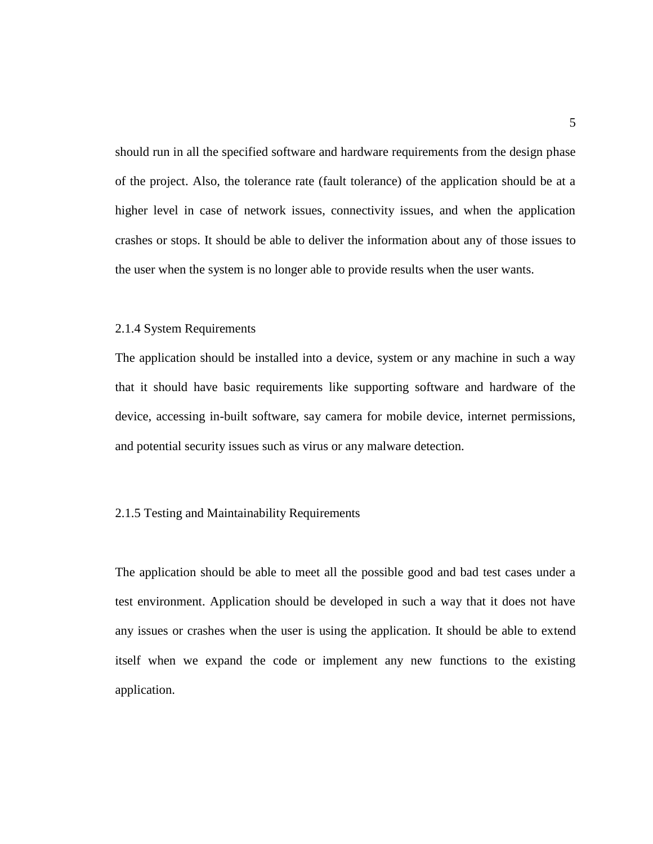should run in all the specified software and hardware requirements from the design phase of the project. Also, the tolerance rate (fault tolerance) of the application should be at a higher level in case of network issues, connectivity issues, and when the application crashes or stops. It should be able to deliver the information about any of those issues to the user when the system is no longer able to provide results when the user wants.

# 2.1.4 System Requirements

The application should be installed into a device, system or any machine in such a way that it should have basic requirements like supporting software and hardware of the device, accessing in-built software, say camera for mobile device, internet permissions, and potential security issues such as virus or any malware detection.

# 2.1.5 Testing and Maintainability Requirements

The application should be able to meet all the possible good and bad test cases under a test environment. Application should be developed in such a way that it does not have any issues or crashes when the user is using the application. It should be able to extend itself when we expand the code or implement any new functions to the existing application.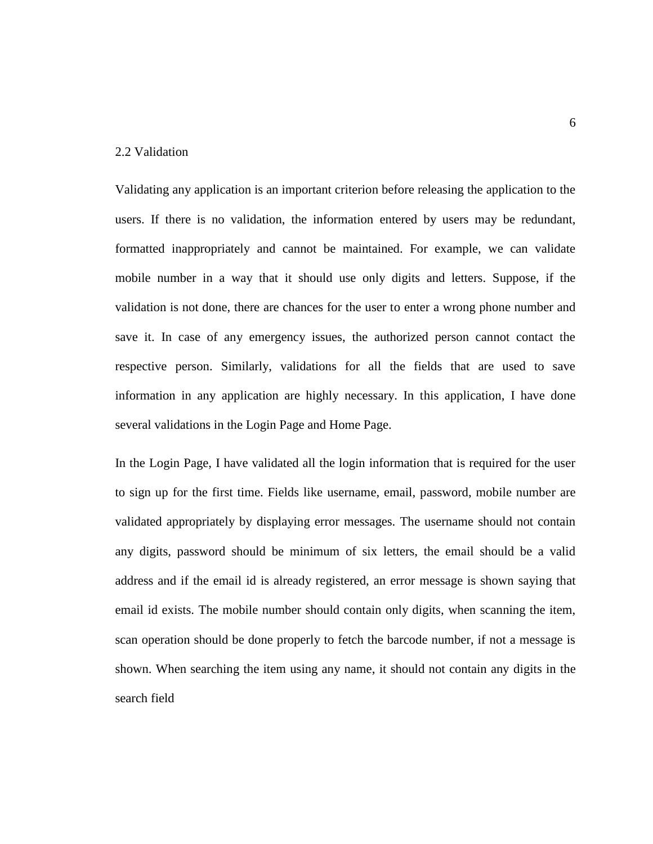# 2.2 Validation

Validating any application is an important criterion before releasing the application to the users. If there is no validation, the information entered by users may be redundant, formatted inappropriately and cannot be maintained. For example, we can validate mobile number in a way that it should use only digits and letters. Suppose, if the validation is not done, there are chances for the user to enter a wrong phone number and save it. In case of any emergency issues, the authorized person cannot contact the respective person. Similarly, validations for all the fields that are used to save information in any application are highly necessary. In this application, I have done several validations in the Login Page and Home Page.

In the Login Page, I have validated all the login information that is required for the user to sign up for the first time. Fields like username, email, password, mobile number are validated appropriately by displaying error messages. The username should not contain any digits, password should be minimum of six letters, the email should be a valid address and if the email id is already registered, an error message is shown saying that email id exists. The mobile number should contain only digits, when scanning the item, scan operation should be done properly to fetch the barcode number, if not a message is shown. When searching the item using any name, it should not contain any digits in the search field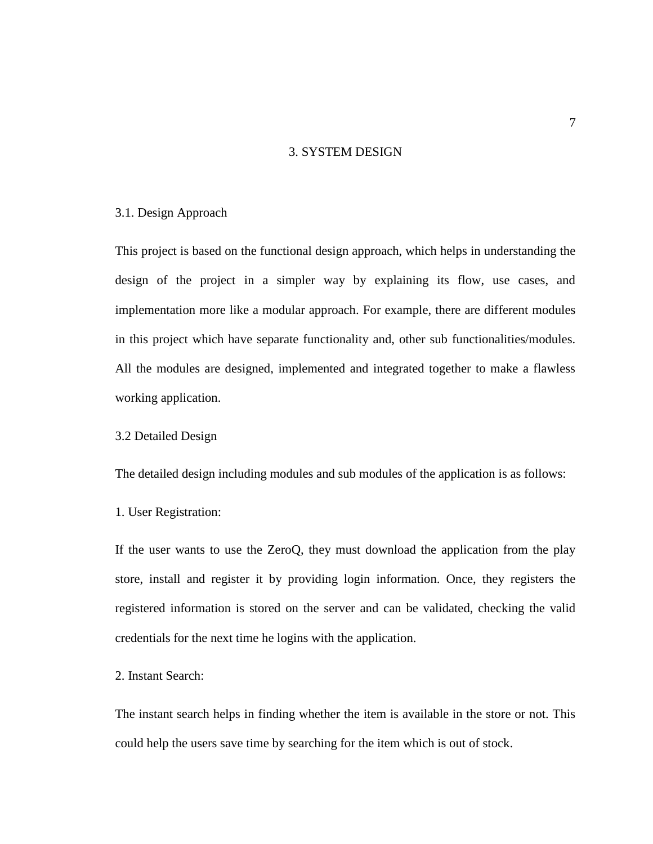# 3. SYSTEM DESIGN

# 3.1. Design Approach

This project is based on the functional design approach, which helps in understanding the design of the project in a simpler way by explaining its flow, use cases, and implementation more like a modular approach. For example, there are different modules in this project which have separate functionality and, other sub functionalities/modules. All the modules are designed, implemented and integrated together to make a flawless working application.

3.2 Detailed Design

The detailed design including modules and sub modules of the application is as follows:

1. User Registration:

If the user wants to use the ZeroQ, they must download the application from the play store, install and register it by providing login information. Once, they registers the registered information is stored on the server and can be validated, checking the valid credentials for the next time he logins with the application.

# 2. Instant Search:

The instant search helps in finding whether the item is available in the store or not. This could help the users save time by searching for the item which is out of stock.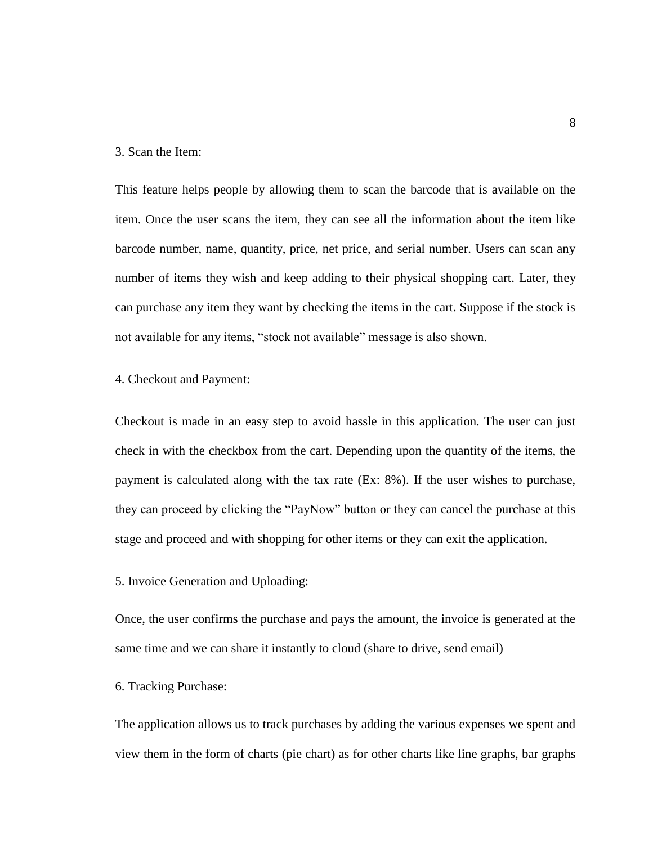# 3. Scan the Item:

This feature helps people by allowing them to scan the barcode that is available on the item. Once the user scans the item, they can see all the information about the item like barcode number, name, quantity, price, net price, and serial number. Users can scan any number of items they wish and keep adding to their physical shopping cart. Later, they can purchase any item they want by checking the items in the cart. Suppose if the stock is not available for any items, "stock not available" message is also shown.

#### 4. Checkout and Payment:

Checkout is made in an easy step to avoid hassle in this application. The user can just check in with the checkbox from the cart. Depending upon the quantity of the items, the payment is calculated along with the tax rate (Ex: 8%). If the user wishes to purchase, they can proceed by clicking the "PayNow" button or they can cancel the purchase at this stage and proceed and with shopping for other items or they can exit the application.

## 5. Invoice Generation and Uploading:

Once, the user confirms the purchase and pays the amount, the invoice is generated at the same time and we can share it instantly to cloud (share to drive, send email)

# 6. Tracking Purchase:

The application allows us to track purchases by adding the various expenses we spent and view them in the form of charts (pie chart) as for other charts like line graphs, bar graphs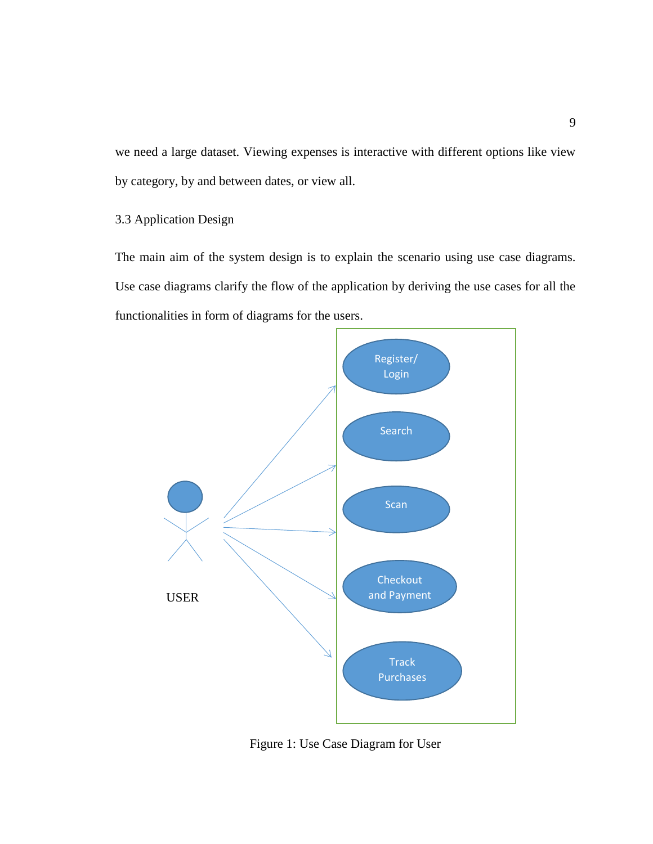we need a large dataset. Viewing expenses is interactive with different options like view by category, by and between dates, or view all.

# 3.3 Application Design

The main aim of the system design is to explain the scenario using use case diagrams. Use case diagrams clarify the flow of the application by deriving the use cases for all the functionalities in form of diagrams for the users.



Figure 1: Use Case Diagram for User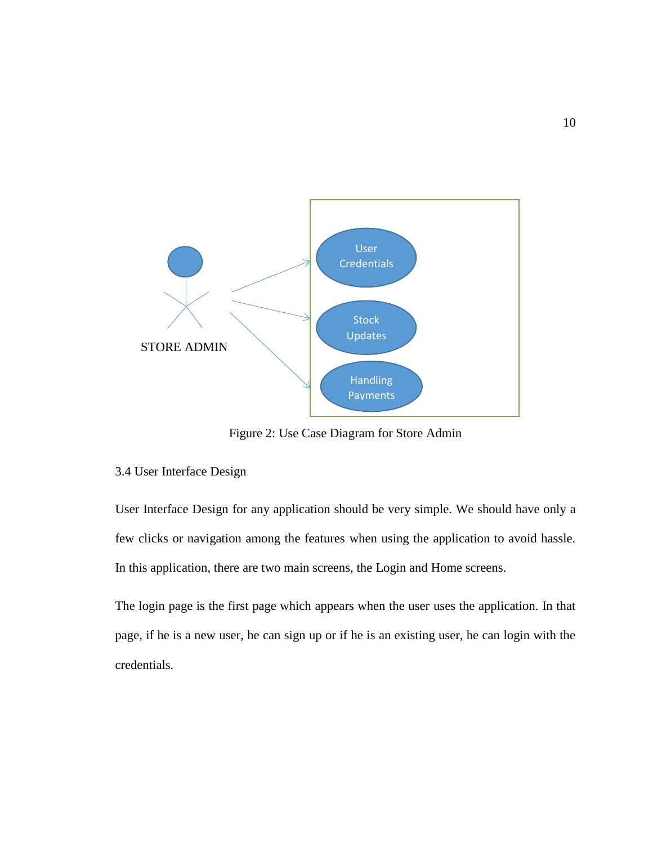

Figure 2: Use Case Diagram for Store Admin

# 3.4 User Interface Design

User Interface Design for any application should be very simple. We should have only a few clicks or navigation among the features when using the application to avoid hassle. In this application, there are two main screens, the Login and Home screens.

The login page is the first page which appears when the user uses the application. In that page, if he is a new user, he can sign up or if he is an existing user, he can login with the credentials.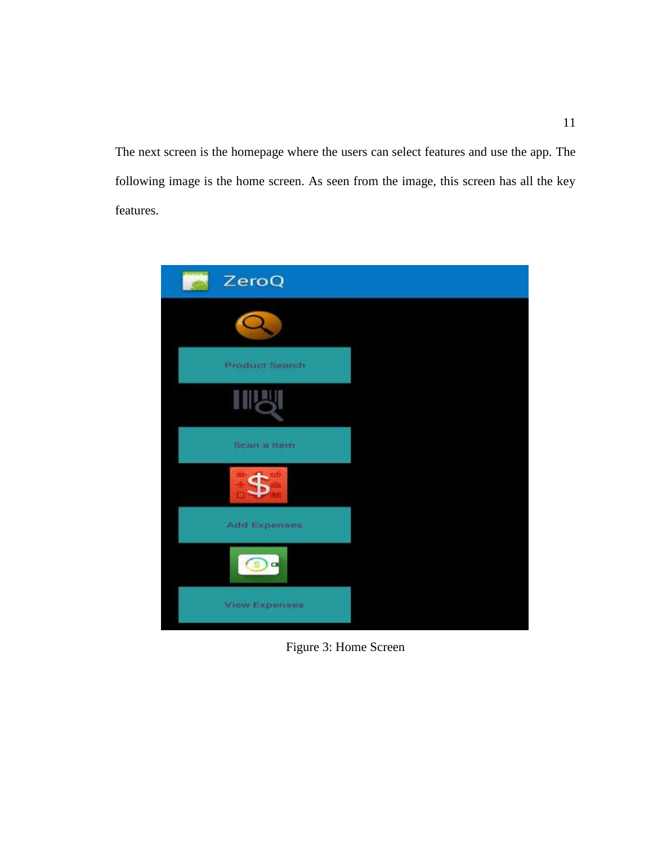The next screen is the homepage where the users can select features and use the app. The following image is the home screen. As seen from the image, this screen has all the key features.



Figure 3: Home Screen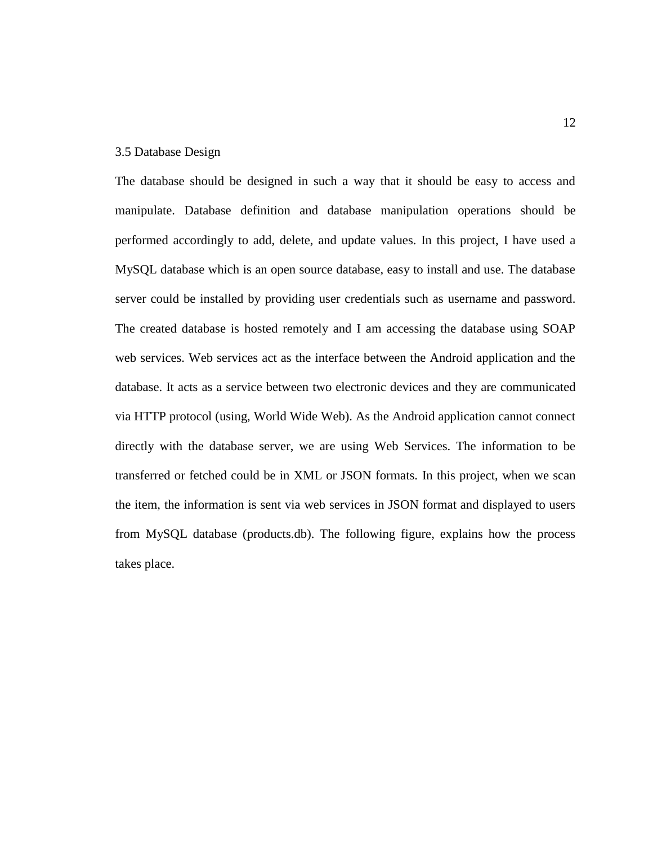## 3.5 Database Design

The database should be designed in such a way that it should be easy to access and manipulate. Database definition and database manipulation operations should be performed accordingly to add, delete, and update values. In this project, I have used a MySQL database which is an open source database, easy to install and use. The database server could be installed by providing user credentials such as username and password. The created database is hosted remotely and I am accessing the database using SOAP web services. Web services act as the interface between the Android application and the database. It acts as a service between two electronic devices and they are communicated via HTTP protocol (using, World Wide Web). As the Android application cannot connect directly with the database server, we are using Web Services. The information to be transferred or fetched could be in XML or JSON formats. In this project, when we scan the item, the information is sent via web services in JSON format and displayed to users from MySQL database (products.db). The following figure, explains how the process takes place.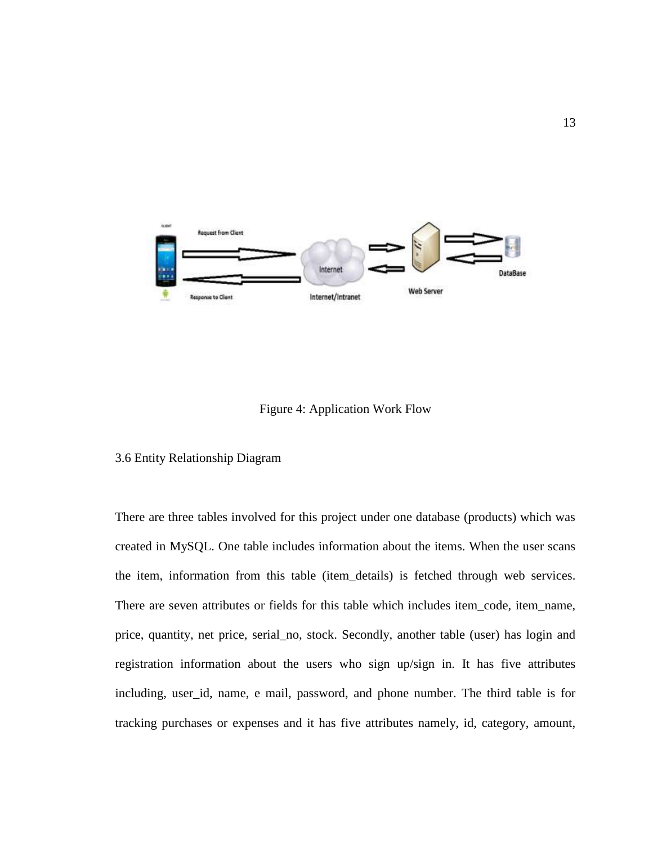

# Figure 4: Application Work Flow

# 3.6 Entity Relationship Diagram

There are three tables involved for this project under one database (products) which was created in MySQL. One table includes information about the items. When the user scans the item, information from this table (item\_details) is fetched through web services. There are seven attributes or fields for this table which includes item\_code, item\_name, price, quantity, net price, serial\_no, stock. Secondly, another table (user) has login and registration information about the users who sign up/sign in. It has five attributes including, user\_id, name, e mail, password, and phone number. The third table is for tracking purchases or expenses and it has five attributes namely, id, category, amount,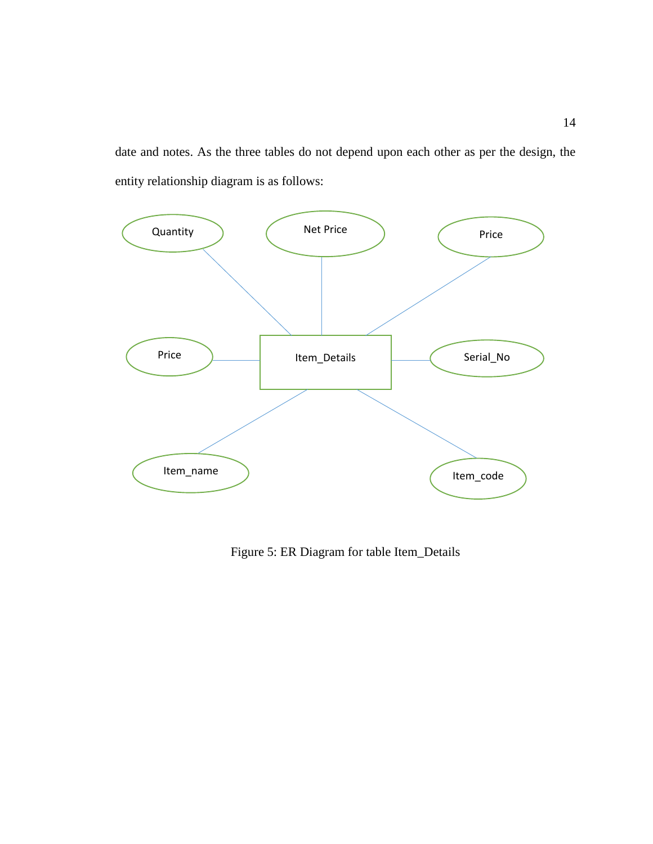date and notes. As the three tables do not depend upon each other as per the design, the entity relationship diagram is as follows:



Figure 5: ER Diagram for table Item\_Details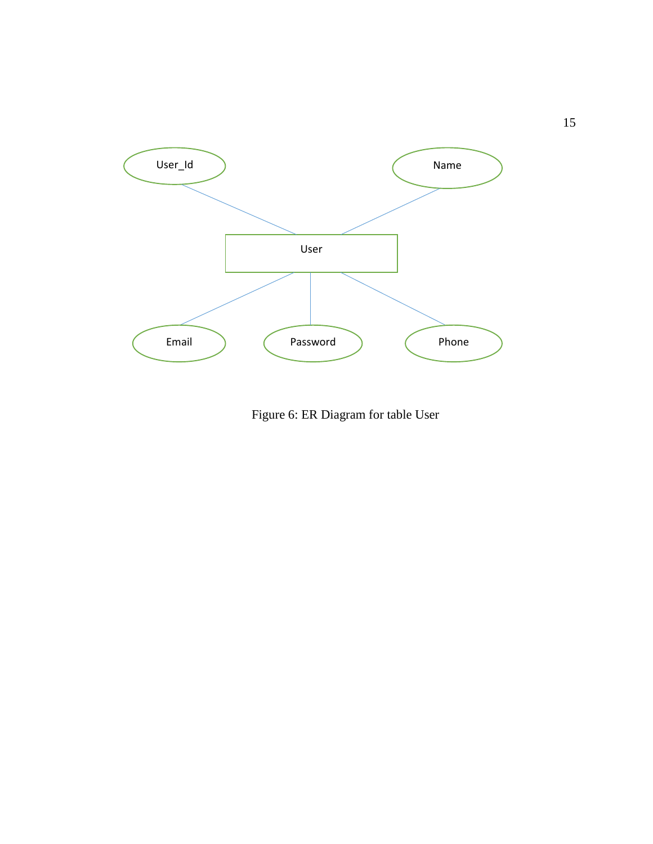

Figure 6: ER Diagram for table User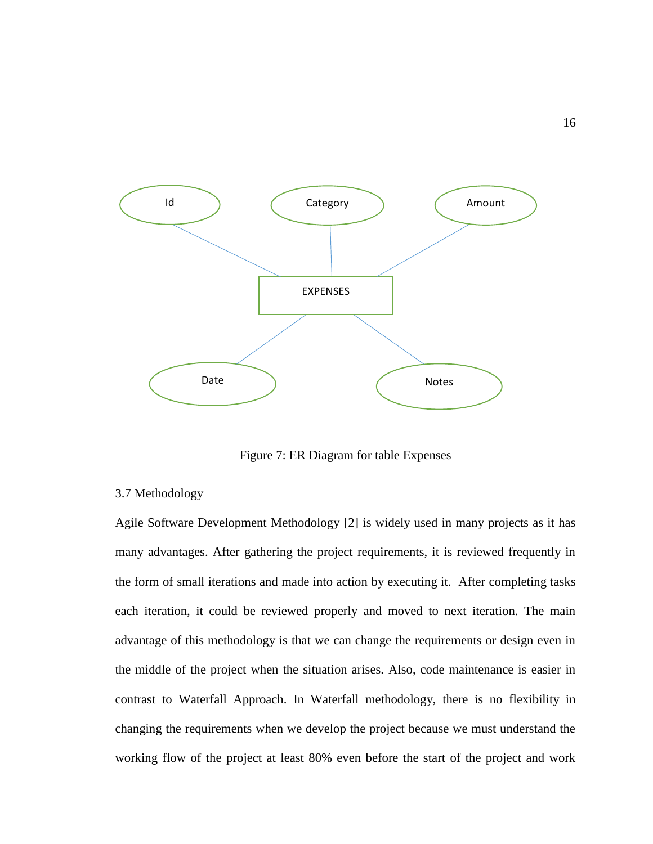

Figure 7: ER Diagram for table Expenses

# 3.7 Methodology

Agile Software Development Methodology [2] is widely used in many projects as it has many advantages. After gathering the project requirements, it is reviewed frequently in the form of small iterations and made into action by executing it. After completing tasks each iteration, it could be reviewed properly and moved to next iteration. The main advantage of this methodology is that we can change the requirements or design even in the middle of the project when the situation arises. Also, code maintenance is easier in contrast to Waterfall Approach. In Waterfall methodology, there is no flexibility in changing the requirements when we develop the project because we must understand the working flow of the project at least 80% even before the start of the project and work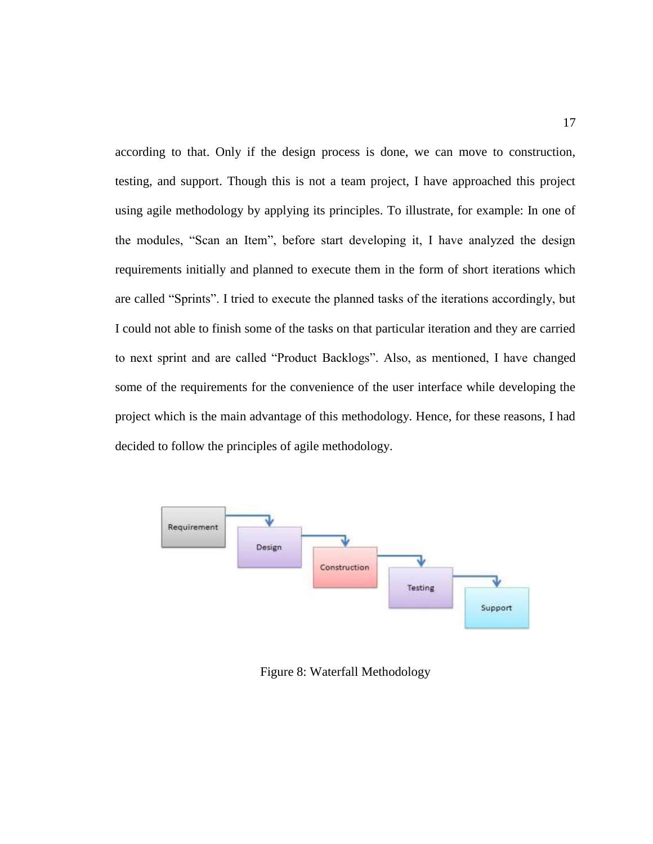according to that. Only if the design process is done, we can move to construction, testing, and support. Though this is not a team project, I have approached this project using agile methodology by applying its principles. To illustrate, for example: In one of the modules, "Scan an Item", before start developing it, I have analyzed the design requirements initially and planned to execute them in the form of short iterations which are called "Sprints". I tried to execute the planned tasks of the iterations accordingly, but I could not able to finish some of the tasks on that particular iteration and they are carried to next sprint and are called "Product Backlogs". Also, as mentioned, I have changed some of the requirements for the convenience of the user interface while developing the project which is the main advantage of this methodology. Hence, for these reasons, I had decided to follow the principles of agile methodology.



Figure 8: Waterfall Methodology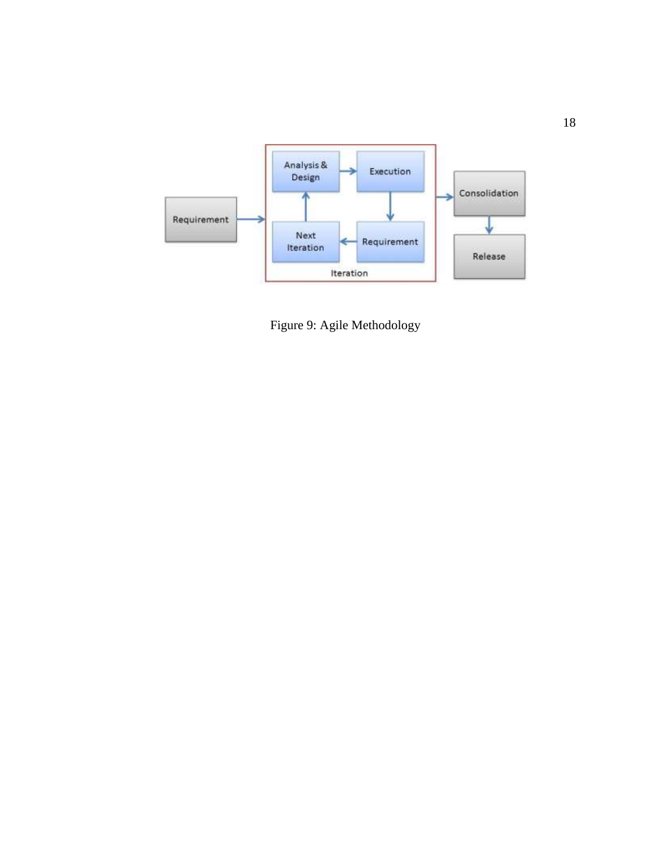

Figure 9: Agile Methodology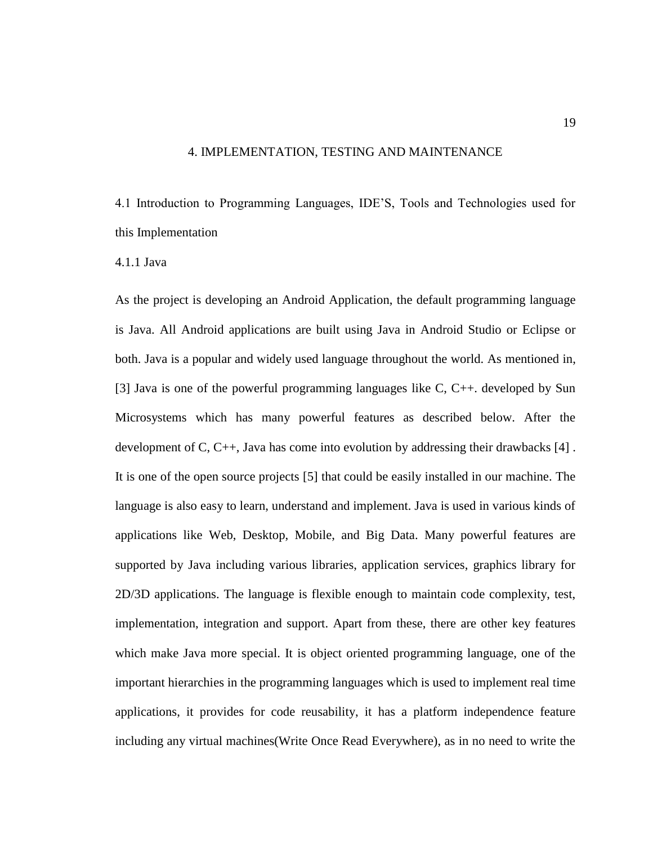## 4. IMPLEMENTATION, TESTING AND MAINTENANCE

4.1 Introduction to Programming Languages, IDE'S, Tools and Technologies used for this Implementation

#### 4.1.1 Java

As the project is developing an Android Application, the default programming language is Java. All Android applications are built using Java in Android Studio or Eclipse or both. Java is a popular and widely used language throughout the world. As mentioned in, [3] Java is one of the powerful programming languages like C, C++. developed by Sun Microsystems which has many powerful features as described below. After the development of C, C++, Java has come into evolution by addressing their drawbacks [4] . It is one of the open source projects [5] that could be easily installed in our machine. The language is also easy to learn, understand and implement. Java is used in various kinds of applications like Web, Desktop, Mobile, and Big Data. Many powerful features are supported by Java including various libraries, application services, graphics library for 2D/3D applications. The language is flexible enough to maintain code complexity, test, implementation, integration and support. Apart from these, there are other key features which make Java more special. It is object oriented programming language, one of the important hierarchies in the programming languages which is used to implement real time applications, it provides for code reusability, it has a platform independence feature including any virtual machines(Write Once Read Everywhere), as in no need to write the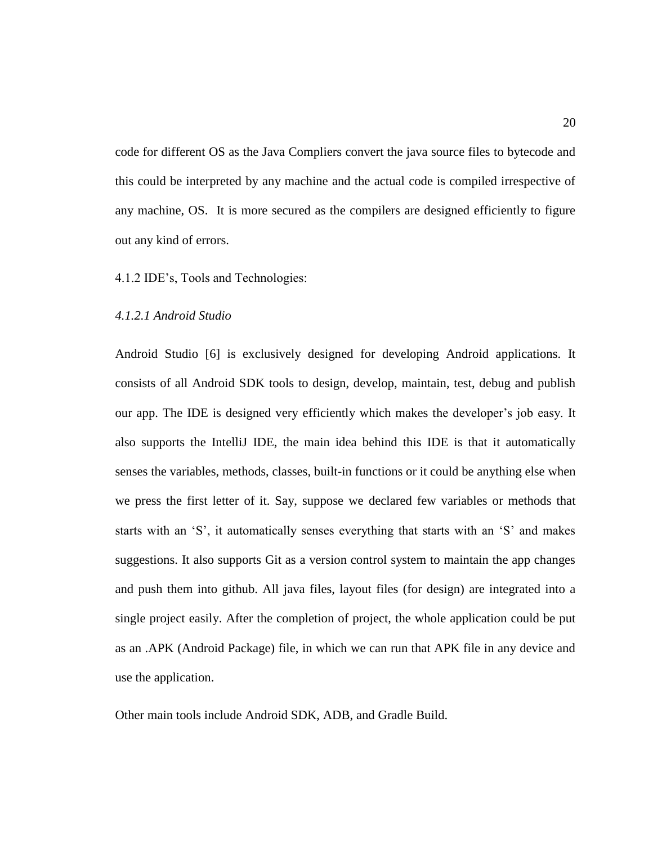code for different OS as the Java Compliers convert the java source files to bytecode and this could be interpreted by any machine and the actual code is compiled irrespective of any machine, OS. It is more secured as the compilers are designed efficiently to figure out any kind of errors.

4.1.2 IDE's, Tools and Technologies:

# *4.1.2.1 Android Studio*

Android Studio [6] is exclusively designed for developing Android applications. It consists of all Android SDK tools to design, develop, maintain, test, debug and publish our app. The IDE is designed very efficiently which makes the developer's job easy. It also supports the IntelliJ IDE, the main idea behind this IDE is that it automatically senses the variables, methods, classes, built-in functions or it could be anything else when we press the first letter of it. Say, suppose we declared few variables or methods that starts with an 'S', it automatically senses everything that starts with an 'S' and makes suggestions. It also supports Git as a version control system to maintain the app changes and push them into github. All java files, layout files (for design) are integrated into a single project easily. After the completion of project, the whole application could be put as an .APK (Android Package) file, in which we can run that APK file in any device and use the application.

Other main tools include Android SDK, ADB, and Gradle Build.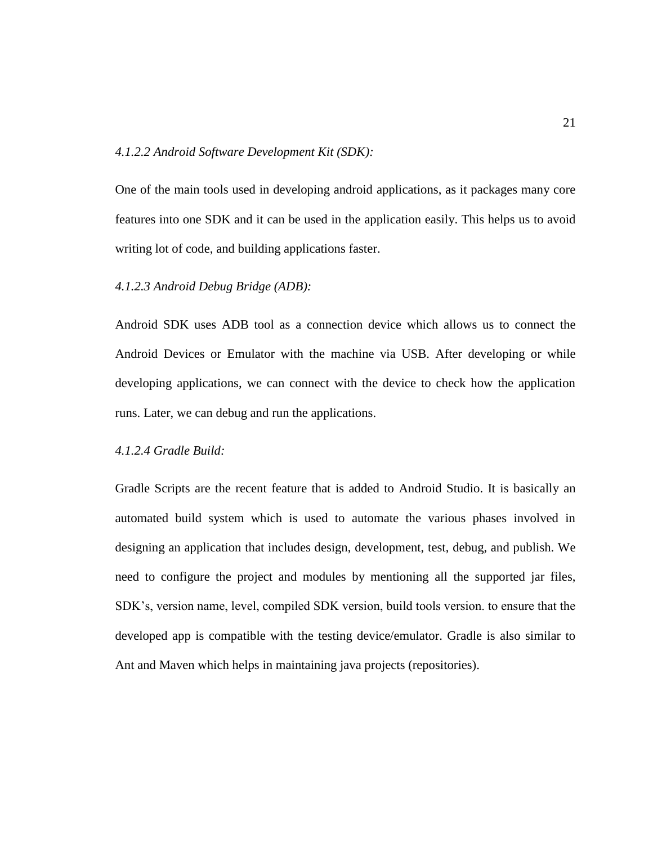# *4.1.2.2 Android Software Development Kit (SDK):*

One of the main tools used in developing android applications, as it packages many core features into one SDK and it can be used in the application easily. This helps us to avoid writing lot of code, and building applications faster.

# *4.1.2.3 Android Debug Bridge (ADB):*

Android SDK uses ADB tool as a connection device which allows us to connect the Android Devices or Emulator with the machine via USB. After developing or while developing applications, we can connect with the device to check how the application runs. Later, we can debug and run the applications.

# *4.1.2.4 Gradle Build:*

Gradle Scripts are the recent feature that is added to Android Studio. It is basically an automated build system which is used to automate the various phases involved in designing an application that includes design, development, test, debug, and publish. We need to configure the project and modules by mentioning all the supported jar files, SDK's, version name, level, compiled SDK version, build tools version. to ensure that the developed app is compatible with the testing device/emulator. Gradle is also similar to Ant and Maven which helps in maintaining java projects (repositories).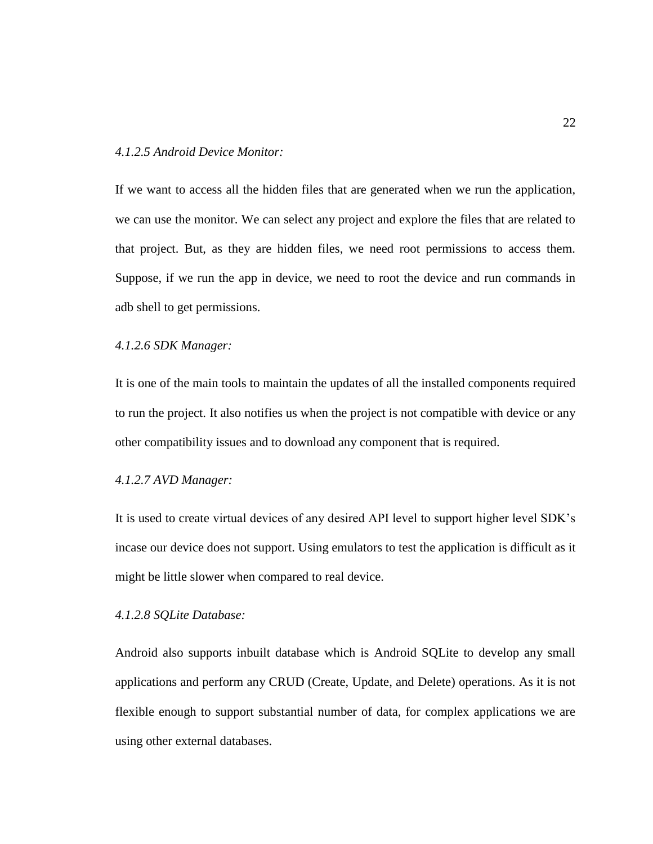## *4.1.2.5 Android Device Monitor:*

If we want to access all the hidden files that are generated when we run the application, we can use the monitor. We can select any project and explore the files that are related to that project. But, as they are hidden files, we need root permissions to access them. Suppose, if we run the app in device, we need to root the device and run commands in adb shell to get permissions.

# *4.1.2.6 SDK Manager:*

It is one of the main tools to maintain the updates of all the installed components required to run the project. It also notifies us when the project is not compatible with device or any other compatibility issues and to download any component that is required.

# *4.1.2.7 AVD Manager:*

It is used to create virtual devices of any desired API level to support higher level SDK's incase our device does not support. Using emulators to test the application is difficult as it might be little slower when compared to real device.

# *4.1.2.8 SQLite Database:*

Android also supports inbuilt database which is Android SQLite to develop any small applications and perform any CRUD (Create, Update, and Delete) operations. As it is not flexible enough to support substantial number of data, for complex applications we are using other external databases.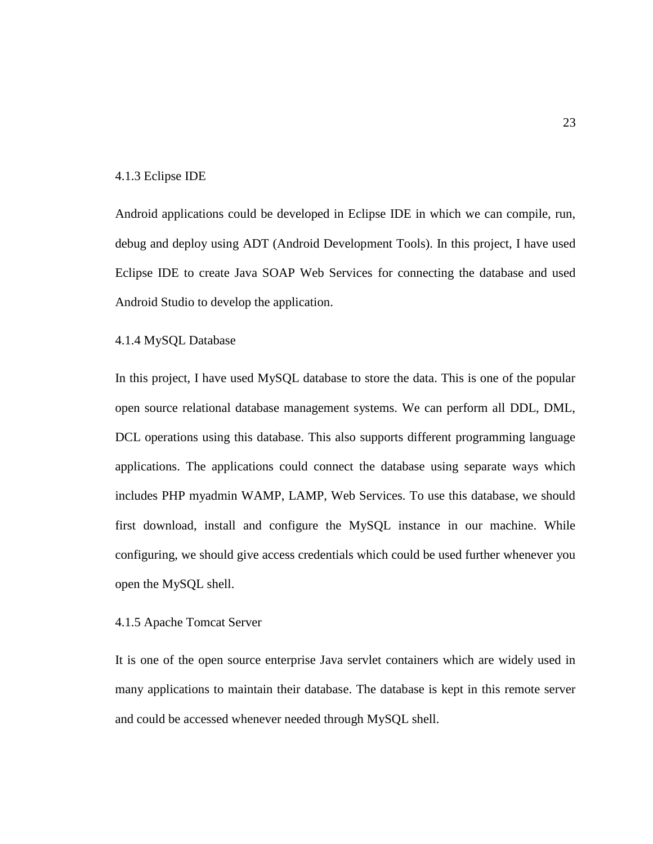#### 4.1.3 Eclipse IDE

Android applications could be developed in Eclipse IDE in which we can compile, run, debug and deploy using ADT (Android Development Tools). In this project, I have used Eclipse IDE to create Java SOAP Web Services for connecting the database and used Android Studio to develop the application.

# 4.1.4 MySQL Database

In this project, I have used MySQL database to store the data. This is one of the popular open source relational database management systems. We can perform all DDL, DML, DCL operations using this database. This also supports different programming language applications. The applications could connect the database using separate ways which includes PHP myadmin WAMP, LAMP, Web Services. To use this database, we should first download, install and configure the MySQL instance in our machine. While configuring, we should give access credentials which could be used further whenever you open the MySQL shell.

# 4.1.5 Apache Tomcat Server

It is one of the open source enterprise Java servlet containers which are widely used in many applications to maintain their database. The database is kept in this remote server and could be accessed whenever needed through MySQL shell.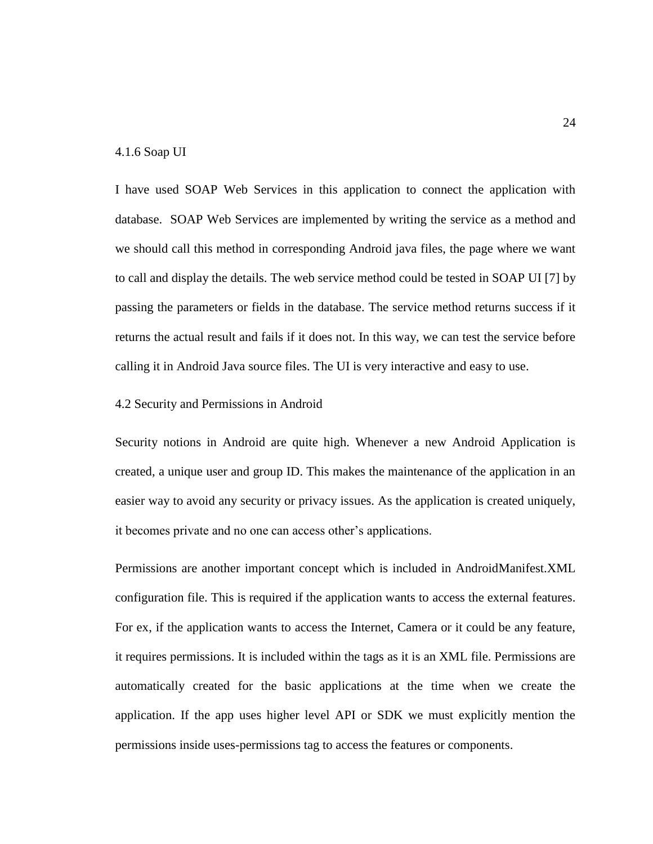## 4.1.6 Soap UI

I have used SOAP Web Services in this application to connect the application with database. SOAP Web Services are implemented by writing the service as a method and we should call this method in corresponding Android java files, the page where we want to call and display the details. The web service method could be tested in SOAP UI [7] by passing the parameters or fields in the database. The service method returns success if it returns the actual result and fails if it does not. In this way, we can test the service before calling it in Android Java source files. The UI is very interactive and easy to use.

## 4.2 Security and Permissions in Android

Security notions in Android are quite high. Whenever a new Android Application is created, a unique user and group ID. This makes the maintenance of the application in an easier way to avoid any security or privacy issues. As the application is created uniquely, it becomes private and no one can access other's applications.

Permissions are another important concept which is included in AndroidManifest.XML configuration file. This is required if the application wants to access the external features. For ex, if the application wants to access the Internet, Camera or it could be any feature, it requires permissions. It is included within the tags as it is an XML file. Permissions are automatically created for the basic applications at the time when we create the application. If the app uses higher level API or SDK we must explicitly mention the permissions inside uses-permissions tag to access the features or components.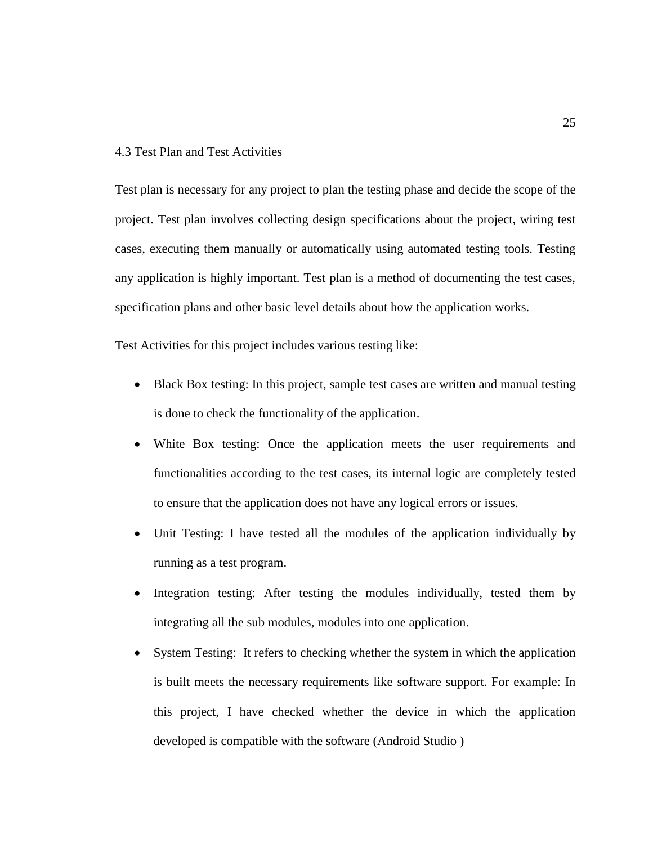# 4.3 Test Plan and Test Activities

Test plan is necessary for any project to plan the testing phase and decide the scope of the project. Test plan involves collecting design specifications about the project, wiring test cases, executing them manually or automatically using automated testing tools. Testing any application is highly important. Test plan is a method of documenting the test cases, specification plans and other basic level details about how the application works.

Test Activities for this project includes various testing like:

- Black Box testing: In this project, sample test cases are written and manual testing is done to check the functionality of the application.
- White Box testing: Once the application meets the user requirements and functionalities according to the test cases, its internal logic are completely tested to ensure that the application does not have any logical errors or issues.
- Unit Testing: I have tested all the modules of the application individually by running as a test program.
- Integration testing: After testing the modules individually, tested them by integrating all the sub modules, modules into one application.
- System Testing: It refers to checking whether the system in which the application is built meets the necessary requirements like software support. For example: In this project, I have checked whether the device in which the application developed is compatible with the software (Android Studio )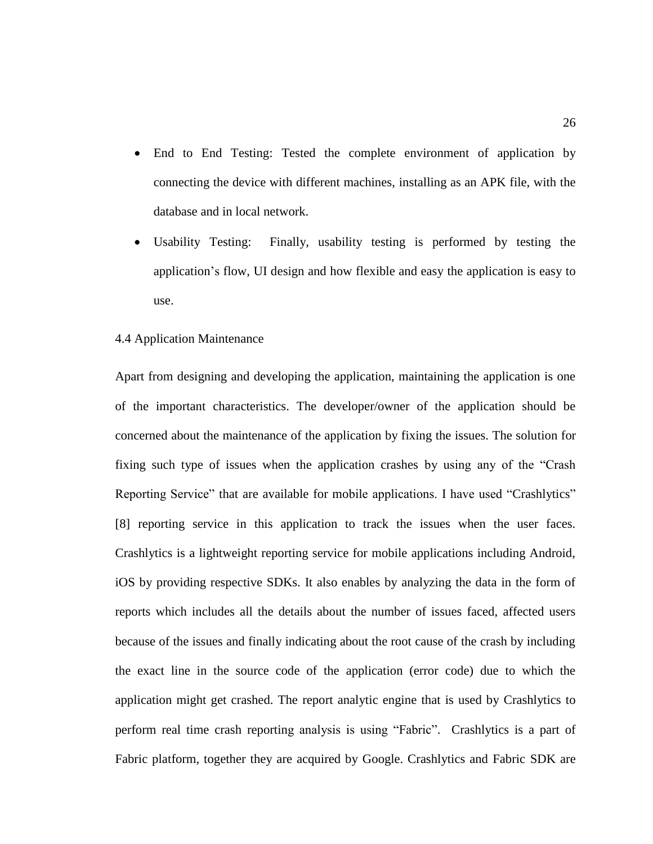- End to End Testing: Tested the complete environment of application by connecting the device with different machines, installing as an APK file, with the database and in local network.
- Usability Testing: Finally, usability testing is performed by testing the application's flow, UI design and how flexible and easy the application is easy to use.

#### 4.4 Application Maintenance

Apart from designing and developing the application, maintaining the application is one of the important characteristics. The developer/owner of the application should be concerned about the maintenance of the application by fixing the issues. The solution for fixing such type of issues when the application crashes by using any of the "Crash Reporting Service" that are available for mobile applications. I have used "Crashlytics" [8] reporting service in this application to track the issues when the user faces. Crashlytics is a lightweight reporting service for mobile applications including Android, iOS by providing respective SDKs. It also enables by analyzing the data in the form of reports which includes all the details about the number of issues faced, affected users because of the issues and finally indicating about the root cause of the crash by including the exact line in the source code of the application (error code) due to which the application might get crashed. The report analytic engine that is used by Crashlytics to perform real time crash reporting analysis is using "Fabric". Crashlytics is a part of Fabric platform, together they are acquired by Google. Crashlytics and Fabric SDK are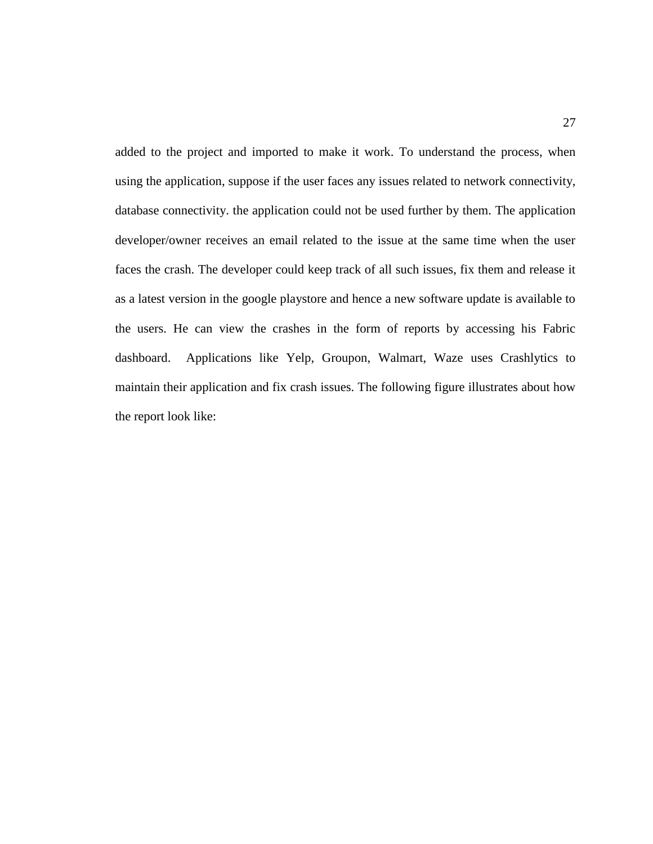added to the project and imported to make it work. To understand the process, when using the application, suppose if the user faces any issues related to network connectivity, database connectivity. the application could not be used further by them. The application developer/owner receives an email related to the issue at the same time when the user faces the crash. The developer could keep track of all such issues, fix them and release it as a latest version in the google playstore and hence a new software update is available to the users. He can view the crashes in the form of reports by accessing his Fabric dashboard. Applications like Yelp, Groupon, Walmart, Waze uses Crashlytics to maintain their application and fix crash issues. The following figure illustrates about how the report look like: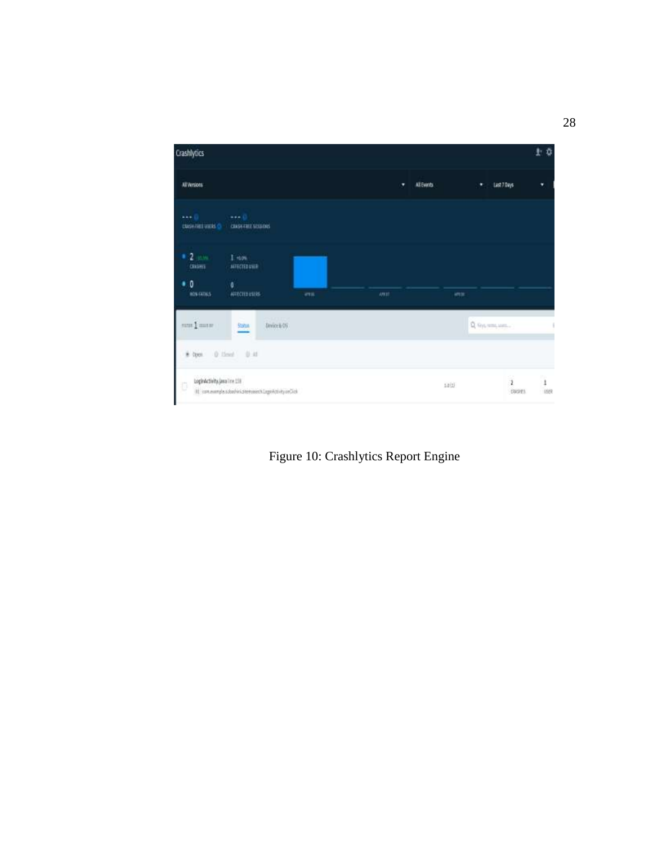

Figure 10: Crashlytics Report Engine

28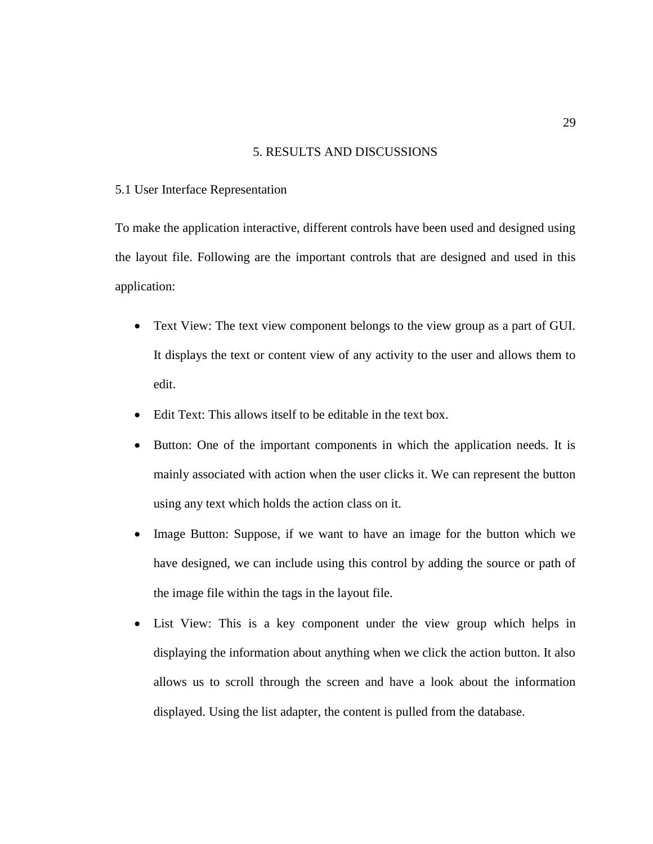## 5. RESULTS AND DISCUSSIONS

## 5.1 User Interface Representation

To make the application interactive, different controls have been used and designed using the layout file. Following are the important controls that are designed and used in this application:

- Text View: The text view component belongs to the view group as a part of GUI. It displays the text or content view of any activity to the user and allows them to edit.
- Edit Text: This allows itself to be editable in the text box.
- Button: One of the important components in which the application needs. It is mainly associated with action when the user clicks it. We can represent the button using any text which holds the action class on it.
- Image Button: Suppose, if we want to have an image for the button which we have designed, we can include using this control by adding the source or path of the image file within the tags in the layout file.
- List View: This is a key component under the view group which helps in displaying the information about anything when we click the action button. It also allows us to scroll through the screen and have a look about the information displayed. Using the list adapter, the content is pulled from the database.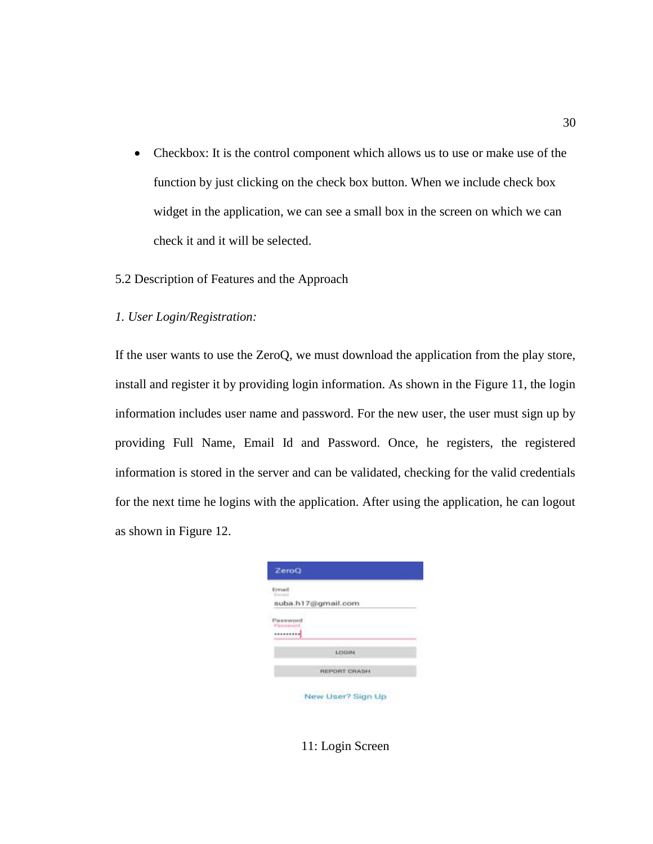- Checkbox: It is the control component which allows us to use or make use of the function by just clicking on the check box button. When we include check box widget in the application, we can see a small box in the screen on which we can check it and it will be selected.
- 5.2 Description of Features and the Approach
- *1. User Login/Registration:*

If the user wants to use the ZeroQ, we must download the application from the play store, install and register it by providing login information. As shown in the Figure 11, the login information includes user name and password. For the new user, the user must sign up by providing Full Name, Email Id and Password. Once, he registers, the registered information is stored in the server and can be validated, checking for the valid credentials for the next time he logins with the application. After using the application, he can logout as shown in Figure 12.

| ZeroQ                      |                               |  |
|----------------------------|-------------------------------|--|
| linru<br><b>Electricia</b> |                               |  |
|                            | suba.h17@gmail.com            |  |
| Password<br>Flammwoord<br> |                               |  |
|                            | <b>WALKER</b><br><b>LOCUN</b> |  |
|                            | <b>REPORT CRASH</b>           |  |
|                            |                               |  |

New User? Sign Up

11: Login Screen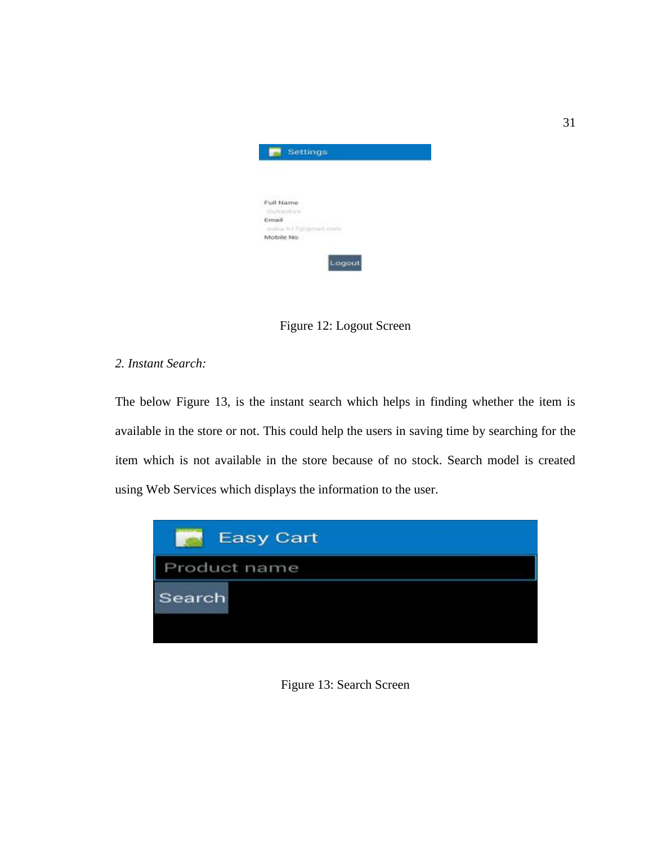| Settings                             |        |  |
|--------------------------------------|--------|--|
|                                      |        |  |
| Full Name                            |        |  |
| Subashini                            |        |  |
| <b>Ermail</b><br>autua.h13@gmeil.onm |        |  |
| Mobile No                            |        |  |
|                                      | Logout |  |

Figure 12: Logout Screen

# *2. Instant Search:*

The below Figure 13, is the instant search which helps in finding whether the item is available in the store or not. This could help the users in saving time by searching for the item which is not available in the store because of no stock. Search model is created using Web Services which displays the information to the user.



Figure 13: Search Screen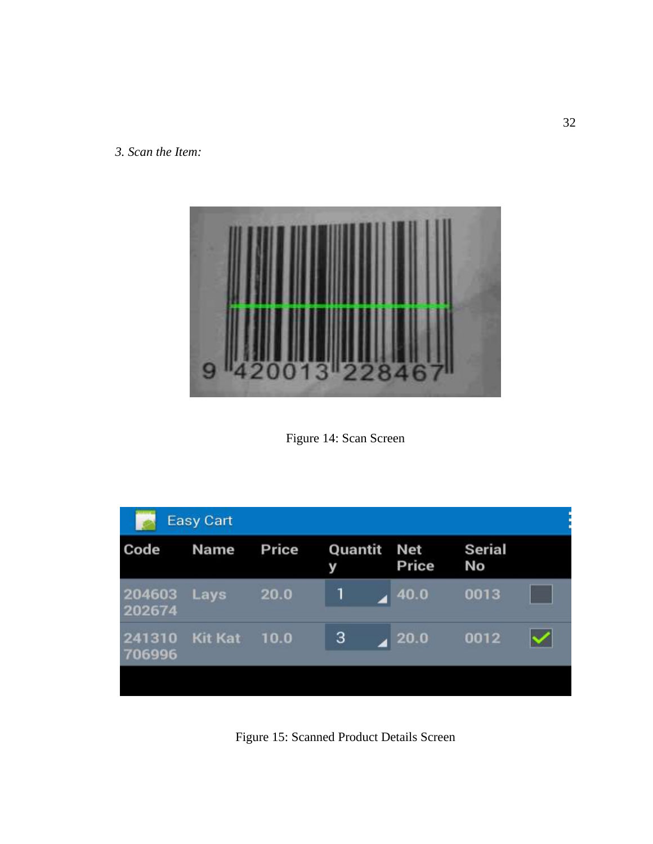*3. Scan the Item:*



Figure 14: Scan Screen

|                  | <b>Easy Cart</b> |       |              |                       |                     |  |
|------------------|------------------|-------|--------------|-----------------------|---------------------|--|
| Code             | <b>Name</b>      | Price | Quantit<br>У | <b>Net</b><br>Price   | <b>Serial</b><br>No |  |
| 204603<br>202674 | Lays             | 20.0  |              | 40.0                  | 0013                |  |
| 241310<br>706996 | <b>Kit Kat</b>   | 10.0  | 3            | $\blacktriangle$ 20.0 | 0012                |  |
|                  |                  |       |              |                       |                     |  |

Figure 15: Scanned Product Details Screen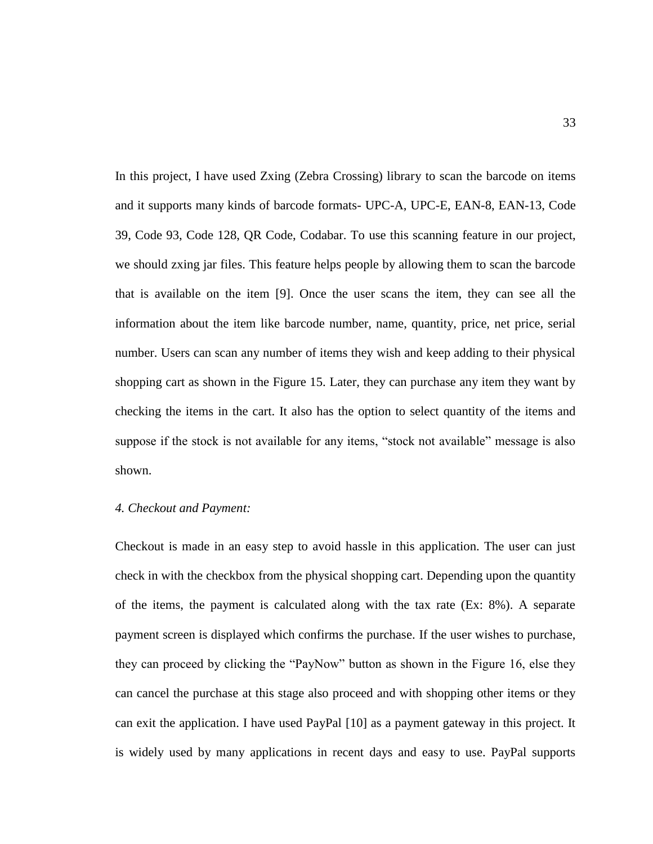In this project, I have used Zxing (Zebra Crossing) library to scan the barcode on items and it supports many kinds of barcode formats- UPC-A, UPC-E, EAN-8, EAN-13, Code 39, Code 93, Code 128, QR Code, Codabar. To use this scanning feature in our project, we should zxing jar files. This feature helps people by allowing them to scan the barcode that is available on the item [9]. Once the user scans the item, they can see all the information about the item like barcode number, name, quantity, price, net price, serial number. Users can scan any number of items they wish and keep adding to their physical shopping cart as shown in the Figure 15. Later, they can purchase any item they want by checking the items in the cart. It also has the option to select quantity of the items and suppose if the stock is not available for any items, "stock not available" message is also shown.

# *4. Checkout and Payment:*

Checkout is made in an easy step to avoid hassle in this application. The user can just check in with the checkbox from the physical shopping cart. Depending upon the quantity of the items, the payment is calculated along with the tax rate (Ex: 8%). A separate payment screen is displayed which confirms the purchase. If the user wishes to purchase, they can proceed by clicking the "PayNow" button as shown in the Figure 16, else they can cancel the purchase at this stage also proceed and with shopping other items or they can exit the application. I have used PayPal [10] as a payment gateway in this project. It is widely used by many applications in recent days and easy to use. PayPal supports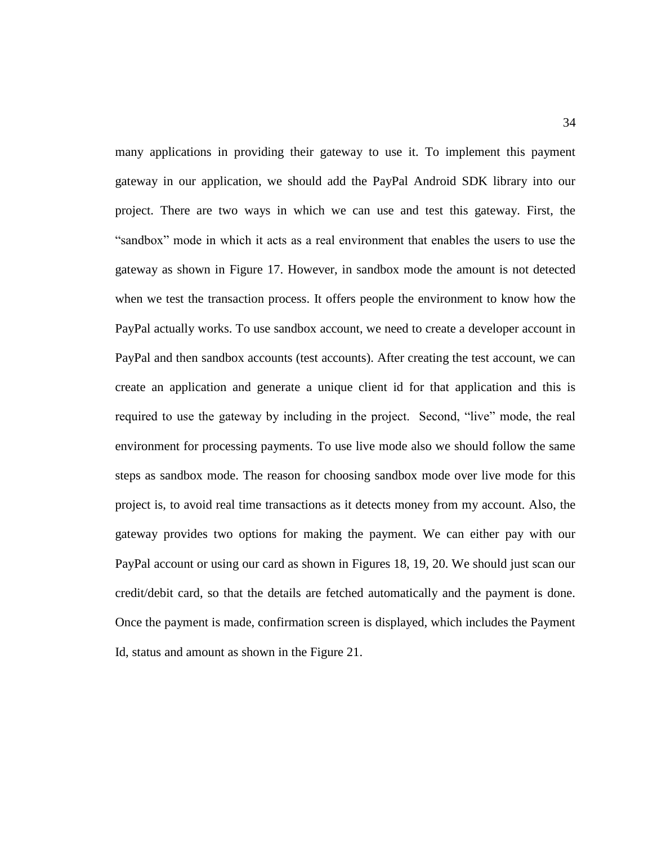many applications in providing their gateway to use it. To implement this payment gateway in our application, we should add the PayPal Android SDK library into our project. There are two ways in which we can use and test this gateway. First, the "sandbox" mode in which it acts as a real environment that enables the users to use the gateway as shown in Figure 17. However, in sandbox mode the amount is not detected when we test the transaction process. It offers people the environment to know how the PayPal actually works. To use sandbox account, we need to create a developer account in PayPal and then sandbox accounts (test accounts). After creating the test account, we can create an application and generate a unique client id for that application and this is required to use the gateway by including in the project. Second, "live" mode, the real environment for processing payments. To use live mode also we should follow the same steps as sandbox mode. The reason for choosing sandbox mode over live mode for this project is, to avoid real time transactions as it detects money from my account. Also, the gateway provides two options for making the payment. We can either pay with our PayPal account or using our card as shown in Figures 18, 19, 20. We should just scan our credit/debit card, so that the details are fetched automatically and the payment is done. Once the payment is made, confirmation screen is displayed, which includes the Payment Id, status and amount as shown in the Figure 21.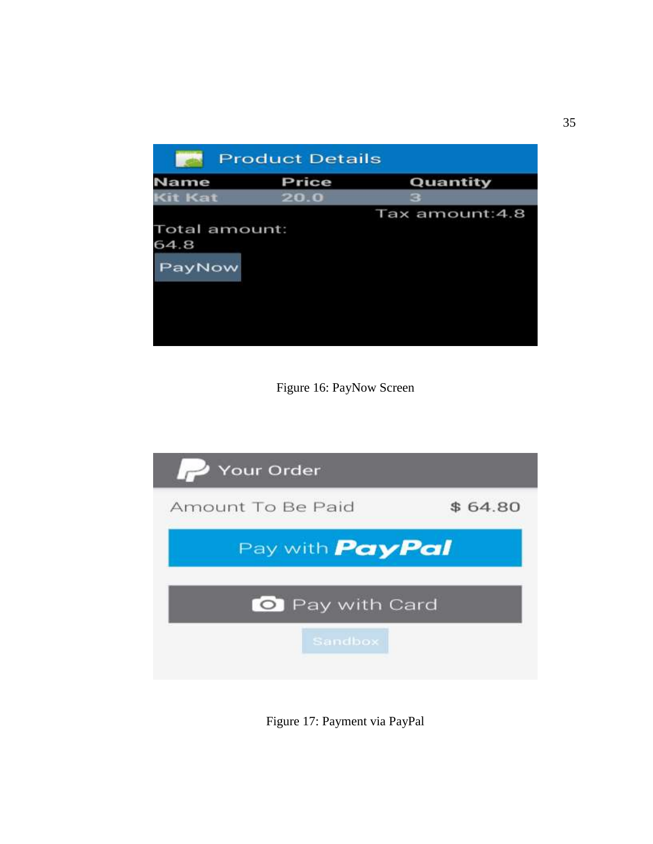

Figure 16: PayNow Screen



Figure 17: Payment via PayPal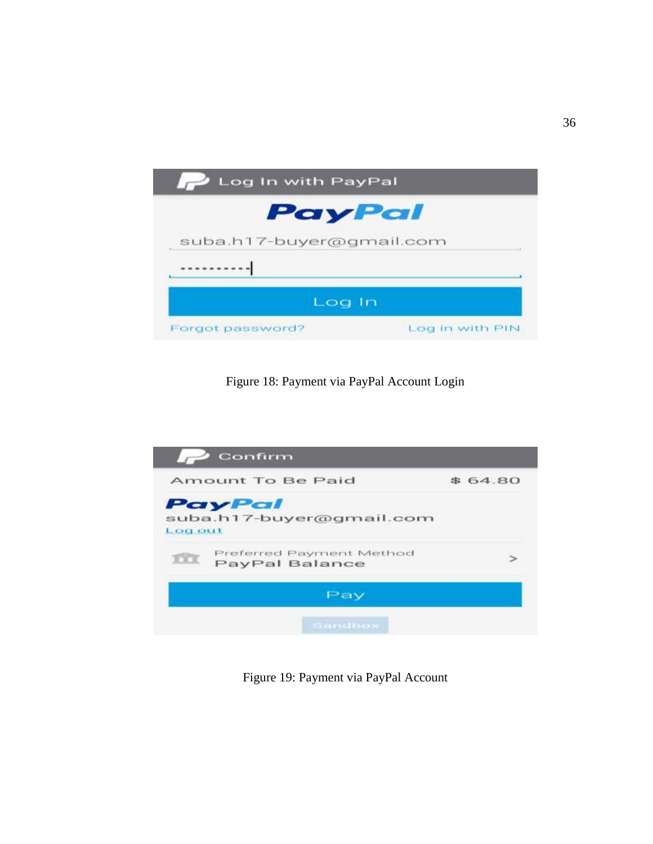

Figure 18: Payment via PayPal Account Login



Figure 19: Payment via PayPal Account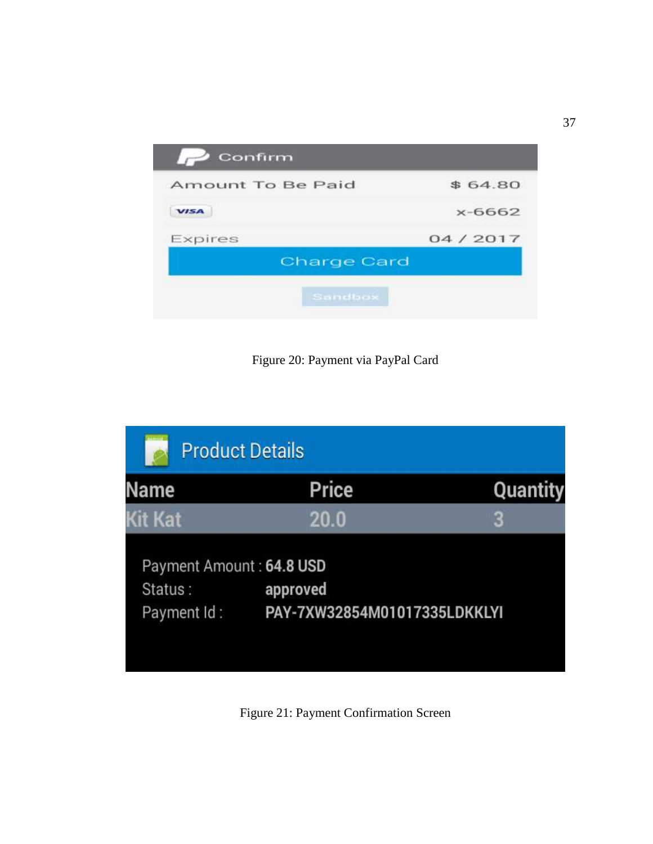| Confirm            |            |
|--------------------|------------|
| Amount To Be Paid  | \$64.80    |
| <b>VISA</b>        | $x - 6662$ |
| Expires            | 04/2017    |
| <b>Charge Card</b> |            |
| Sandbox            |            |

Figure 20: Payment via PayPal Card



Figure 21: Payment Confirmation Screen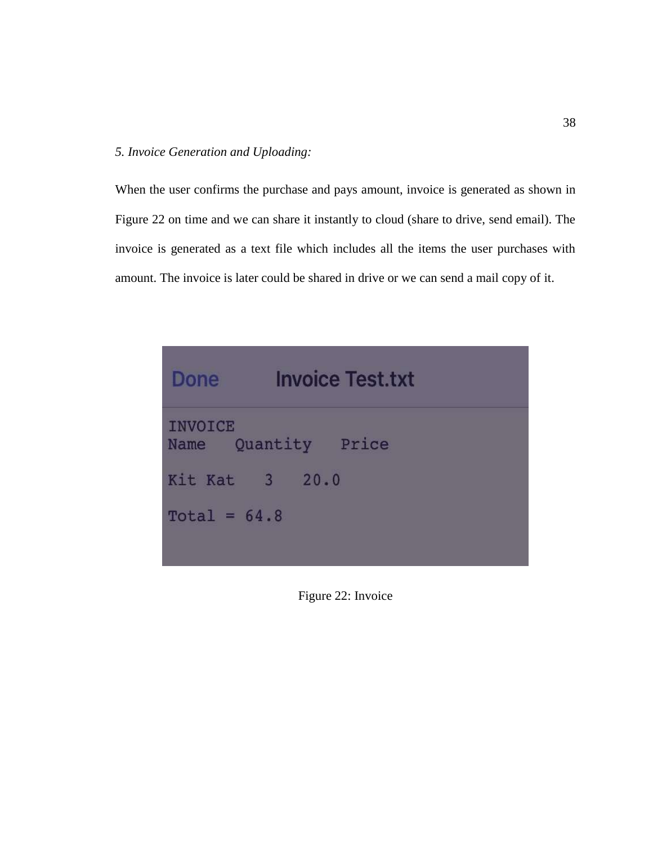# *5. Invoice Generation and Uploading:*

When the user confirms the purchase and pays amount, invoice is generated as shown in Figure 22 on time and we can share it instantly to cloud (share to drive, send email). The invoice is generated as a text file which includes all the items the user purchases with amount. The invoice is later could be shared in drive or we can send a mail copy of it.

| Done           | <b>Invoice Test.txt</b> |
|----------------|-------------------------|
| <b>INVOICE</b> | Name Quantity Price     |
| Kit Kat 3 20.0 |                         |
| Total = $64.8$ |                         |

Figure 22: Invoice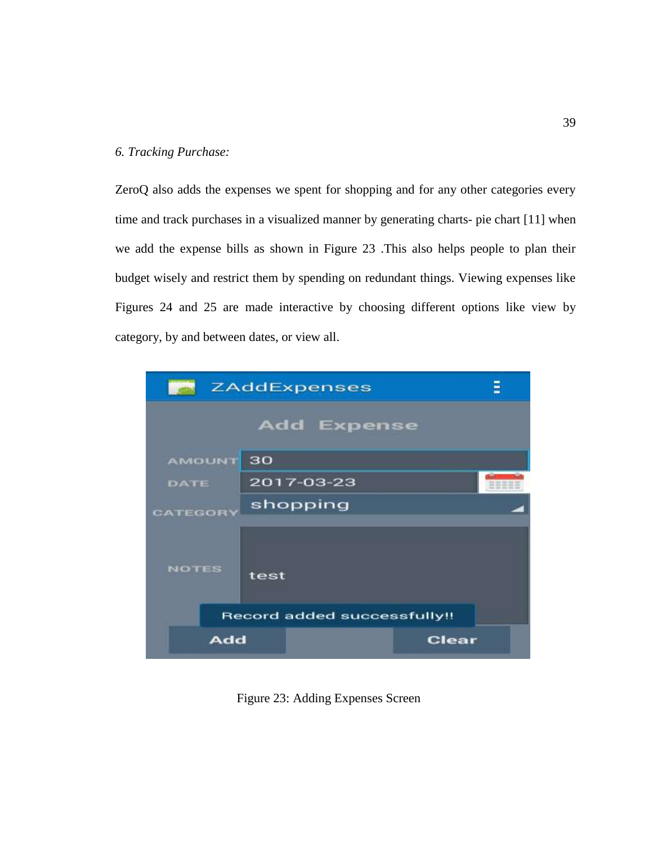# *6. Tracking Purchase:*

ZeroQ also adds the expenses we spent for shopping and for any other categories every time and track purchases in a visualized manner by generating charts- pie chart [11] when we add the expense bills as shown in Figure 23 .This also helps people to plan their budget wisely and restrict them by spending on redundant things. Viewing expenses like Figures 24 and 25 are made interactive by choosing different options like view by category, by and between dates, or view all.



Figure 23: Adding Expenses Screen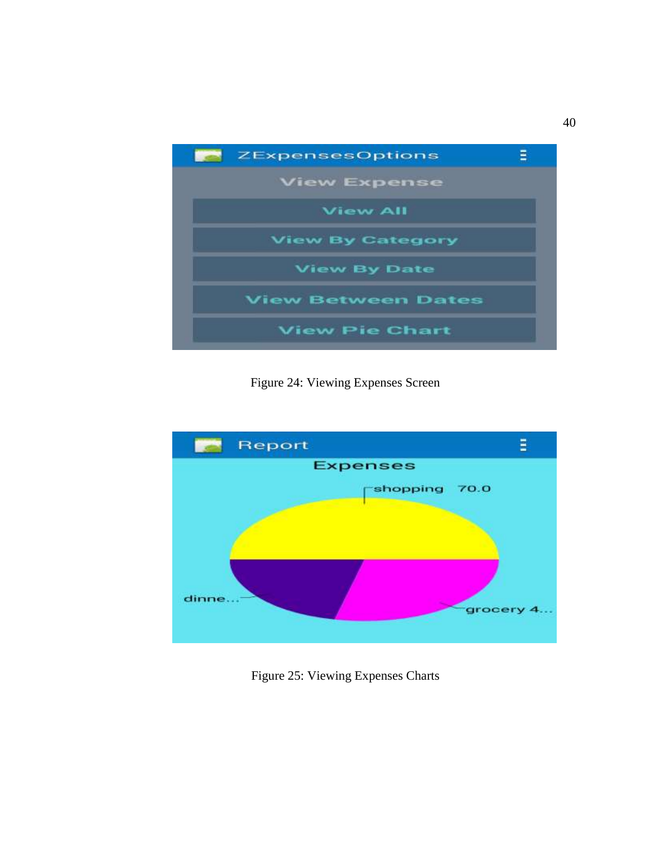

Figure 24: Viewing Expenses Screen



Figure 25: Viewing Expenses Charts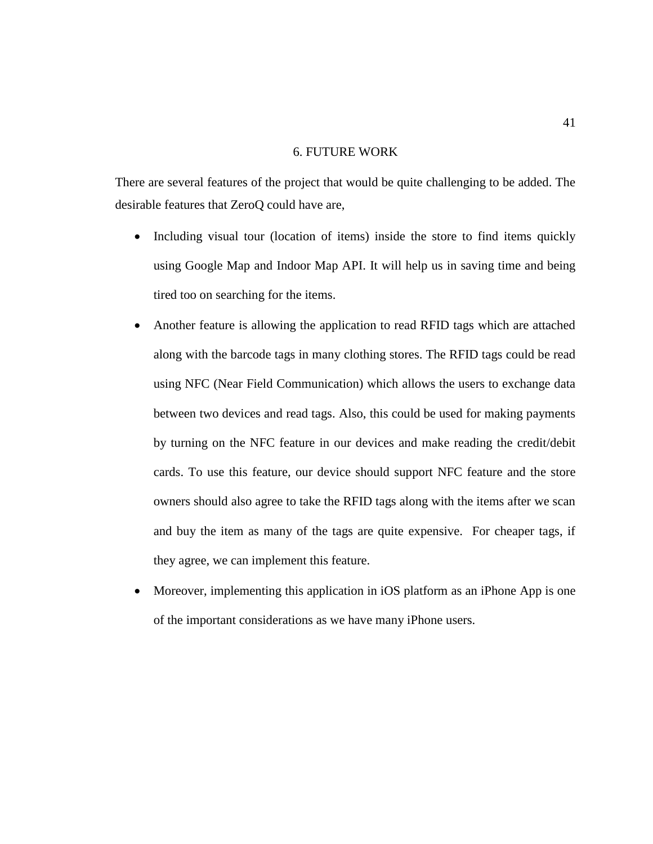# 6. FUTURE WORK

There are several features of the project that would be quite challenging to be added. The desirable features that ZeroQ could have are,

- Including visual tour (location of items) inside the store to find items quickly using Google Map and Indoor Map API. It will help us in saving time and being tired too on searching for the items.
- Another feature is allowing the application to read RFID tags which are attached along with the barcode tags in many clothing stores. The RFID tags could be read using NFC (Near Field Communication) which allows the users to exchange data between two devices and read tags. Also, this could be used for making payments by turning on the NFC feature in our devices and make reading the credit/debit cards. To use this feature, our device should support NFC feature and the store owners should also agree to take the RFID tags along with the items after we scan and buy the item as many of the tags are quite expensive. For cheaper tags, if they agree, we can implement this feature.
- Moreover, implementing this application in iOS platform as an iPhone App is one of the important considerations as we have many iPhone users.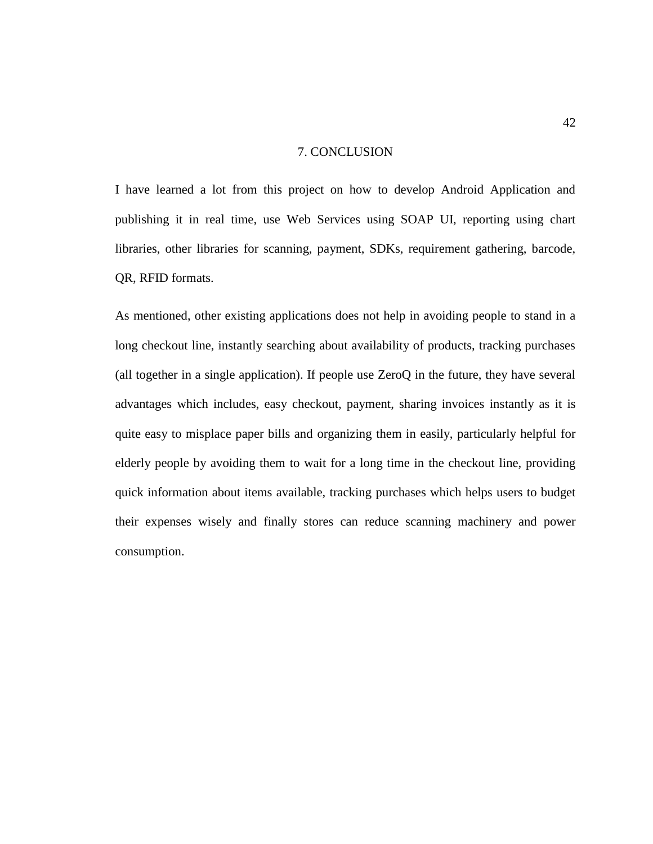## 7. CONCLUSION

I have learned a lot from this project on how to develop Android Application and publishing it in real time, use Web Services using SOAP UI, reporting using chart libraries, other libraries for scanning, payment, SDKs, requirement gathering, barcode, QR, RFID formats.

As mentioned, other existing applications does not help in avoiding people to stand in a long checkout line, instantly searching about availability of products, tracking purchases (all together in a single application). If people use ZeroQ in the future, they have several advantages which includes, easy checkout, payment, sharing invoices instantly as it is quite easy to misplace paper bills and organizing them in easily, particularly helpful for elderly people by avoiding them to wait for a long time in the checkout line, providing quick information about items available, tracking purchases which helps users to budget their expenses wisely and finally stores can reduce scanning machinery and power consumption.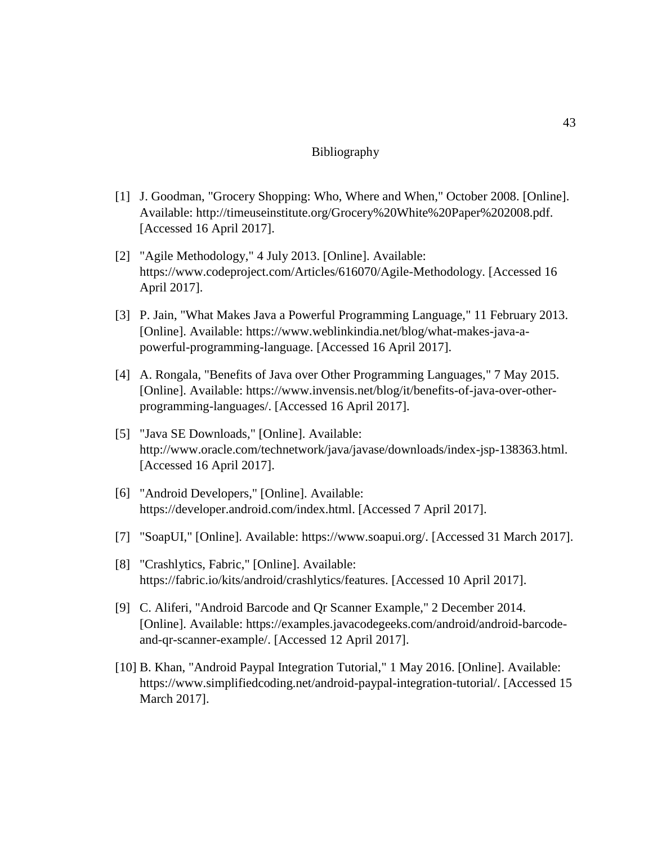# Bibliography

- [1] J. Goodman, "Grocery Shopping: Who, Where and When," October 2008. [Online]. Available: http://timeuseinstitute.org/Grocery%20White%20Paper%202008.pdf. [Accessed 16 April 2017].
- [2] "Agile Methodology," 4 July 2013. [Online]. Available: https://www.codeproject.com/Articles/616070/Agile-Methodology. [Accessed 16 April 2017].
- [3] P. Jain, "What Makes Java a Powerful Programming Language," 11 February 2013. [Online]. Available: https://www.weblinkindia.net/blog/what-makes-java-apowerful-programming-language. [Accessed 16 April 2017].
- [4] A. Rongala, "Benefits of Java over Other Programming Languages," 7 May 2015. [Online]. Available: https://www.invensis.net/blog/it/benefits-of-java-over-otherprogramming-languages/. [Accessed 16 April 2017].
- [5] "Java SE Downloads," [Online]. Available: http://www.oracle.com/technetwork/java/javase/downloads/index-jsp-138363.html. [Accessed 16 April 2017].
- [6] "Android Developers," [Online]. Available: https://developer.android.com/index.html. [Accessed 7 April 2017].
- [7] "SoapUI," [Online]. Available: https://www.soapui.org/. [Accessed 31 March 2017].
- [8] "Crashlytics, Fabric," [Online]. Available: https://fabric.io/kits/android/crashlytics/features. [Accessed 10 April 2017].
- [9] C. Aliferi, "Android Barcode and Qr Scanner Example," 2 December 2014. [Online]. Available: https://examples.javacodegeeks.com/android/android-barcodeand-qr-scanner-example/. [Accessed 12 April 2017].
- [10] B. Khan, "Android Paypal Integration Tutorial," 1 May 2016. [Online]. Available: https://www.simplifiedcoding.net/android-paypal-integration-tutorial/. [Accessed 15 March 2017].